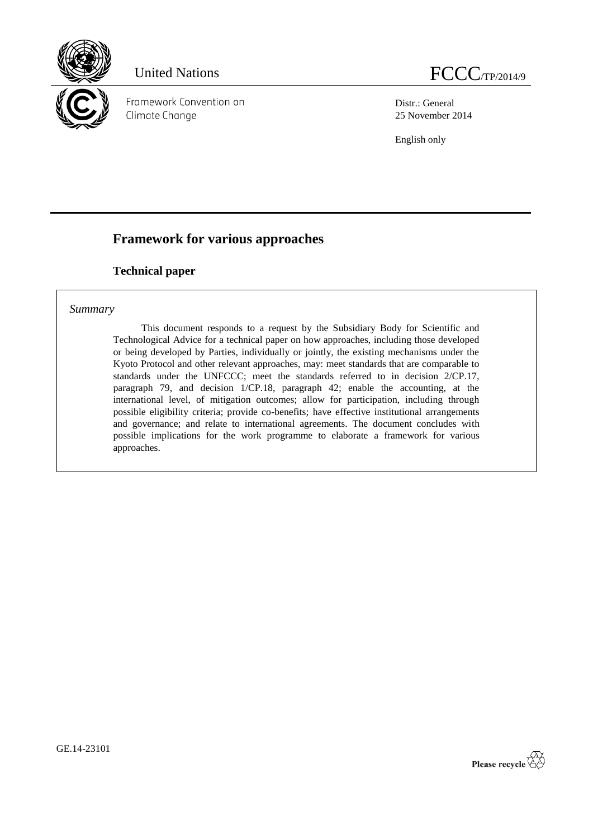

Framework Convention on Climate Change

Distr.: General 25 November 2014

English only

# **Framework for various approaches**

## **Technical paper**

## *Summary*

This document responds to a request by the Subsidiary Body for Scientific and Technological Advice for a technical paper on how approaches, including those developed or being developed by Parties, individually or jointly, the existing mechanisms under the Kyoto Protocol and other relevant approaches, may: meet standards that are comparable to standards under the UNFCCC; meet the standards referred to in decision 2/CP.17, paragraph 79, and decision 1/CP.18, paragraph 42; enable the accounting, at the international level, of mitigation outcomes; allow for participation, including through possible eligibility criteria; provide co-benefits; have effective institutional arrangements and governance; and relate to international agreements. The document concludes with possible implications for the work programme to elaborate a framework for various approaches.

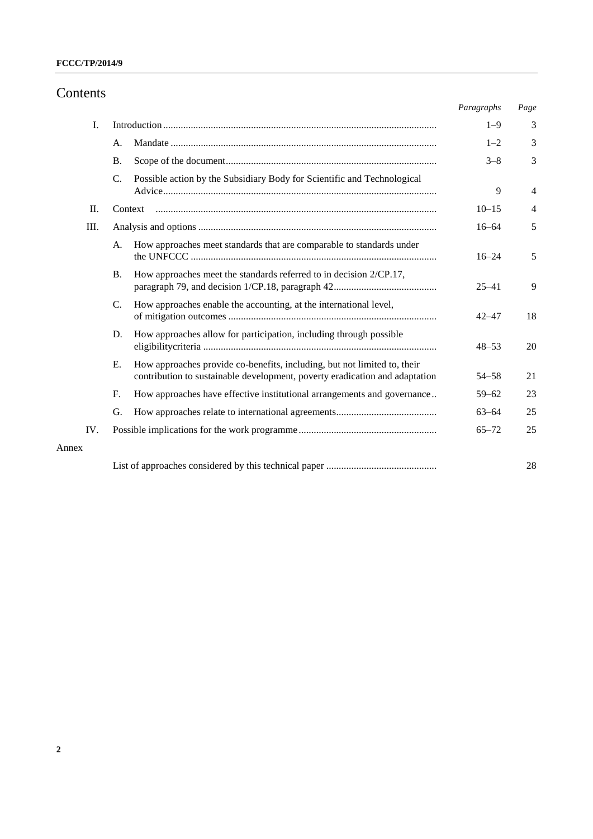# Contents

|     |                 |                                                                                                                                                         | Paragraphs | Page           |
|-----|-----------------|---------------------------------------------------------------------------------------------------------------------------------------------------------|------------|----------------|
| I.  |                 |                                                                                                                                                         | $1 - 9$    | 3              |
|     | A.              |                                                                                                                                                         | $1 - 2$    | 3              |
|     | <b>B.</b>       |                                                                                                                                                         | $3 - 8$    | 3              |
|     | $\mathcal{C}$ . | Possible action by the Subsidiary Body for Scientific and Technological                                                                                 | 9          | $\overline{4}$ |
| П.  |                 | Context                                                                                                                                                 | $10 - 15$  | 4              |
| Ш.  |                 |                                                                                                                                                         | $16 - 64$  | 5              |
|     | A.              | How approaches meet standards that are comparable to standards under                                                                                    | $16 - 24$  | 5              |
|     | <b>B.</b>       | How approaches meet the standards referred to in decision 2/CP.17,                                                                                      | $25 - 41$  | 9              |
|     | $C_{\cdot}$     | How approaches enable the accounting, at the international level,                                                                                       | $42 - 47$  | 18             |
|     | D.              | How approaches allow for participation, including through possible                                                                                      | $48 - 53$  | 20             |
|     | E.              | How approaches provide co-benefits, including, but not limited to, their<br>contribution to sustainable development, poverty eradication and adaptation | $54 - 58$  | 21             |
|     | $F_{\cdot}$     | How approaches have effective institutional arrangements and governance                                                                                 | $59 - 62$  | 23             |
|     | G.              |                                                                                                                                                         | $63 - 64$  | 25             |
| IV. |                 |                                                                                                                                                         | $65 - 72$  | 25             |
|     |                 |                                                                                                                                                         |            | 28             |

Annex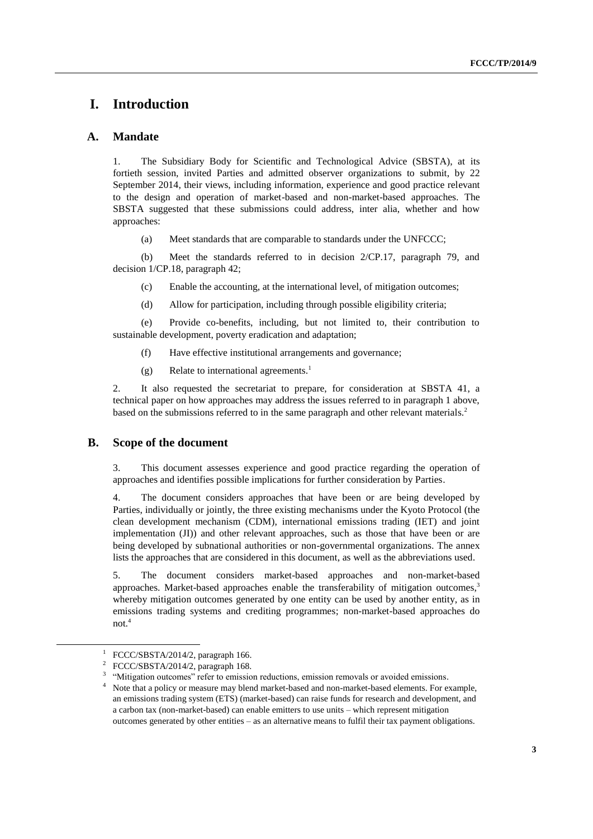# **I. Introduction**

### **A. Mandate**

1. The Subsidiary Body for Scientific and Technological Advice (SBSTA), at its fortieth session, invited Parties and admitted observer organizations to submit, by 22 September 2014, their views, including information, experience and good practice relevant to the design and operation of market-based and non-market-based approaches. The SBSTA suggested that these submissions could address, inter alia, whether and how approaches:

(a) Meet standards that are comparable to standards under the UNFCCC;

(b) Meet the standards referred to in decision 2/CP.17, paragraph 79, and decision 1/CP.18, paragraph 42;

(c) Enable the accounting, at the international level, of mitigation outcomes;

(d) Allow for participation, including through possible eligibility criteria;

(e) Provide co-benefits, including, but not limited to, their contribution to sustainable development, poverty eradication and adaptation;

(f) Have effective institutional arrangements and governance;

(g) Relate to international agreements. 1

2. It also requested the secretariat to prepare, for consideration at SBSTA 41, a technical paper on how approaches may address the issues referred to in paragraph 1 above, based on the submissions referred to in the same paragraph and other relevant materials.<sup>2</sup>

### **B. Scope of the document**

3. This document assesses experience and good practice regarding the operation of approaches and identifies possible implications for further consideration by Parties.

4. The document considers approaches that have been or are being developed by Parties, individually or jointly, the three existing mechanisms under the Kyoto Protocol (the clean development mechanism (CDM), international emissions trading (IET) and joint implementation (JI)) and other relevant approaches, such as those that have been or are being developed by subnational authorities or non-governmental organizations. The annex lists the approaches that are considered in this document, as well as the abbreviations used.

5. The document considers market-based approaches and non-market-based approaches. Market-based approaches enable the transferability of mitigation outcomes,<sup>3</sup> whereby mitigation outcomes generated by one entity can be used by another entity, as in emissions trading systems and crediting programmes; non-market-based approaches do not. 4

<sup>1</sup> FCCC/SBSTA/2014/2, paragraph 166.

<sup>2</sup> FCCC/SBSTA/2014/2, paragraph 168.

<sup>3</sup> "Mitigation outcomes" refer to emission reductions, emission removals or avoided emissions.

Note that a policy or measure may blend market-based and non-market-based elements. For example, an emissions trading system (ETS) (market-based) can raise funds for research and development, and a carbon tax (non-market-based) can enable emitters to use units – which represent mitigation outcomes generated by other entities – as an alternative means to fulfil their tax payment obligations.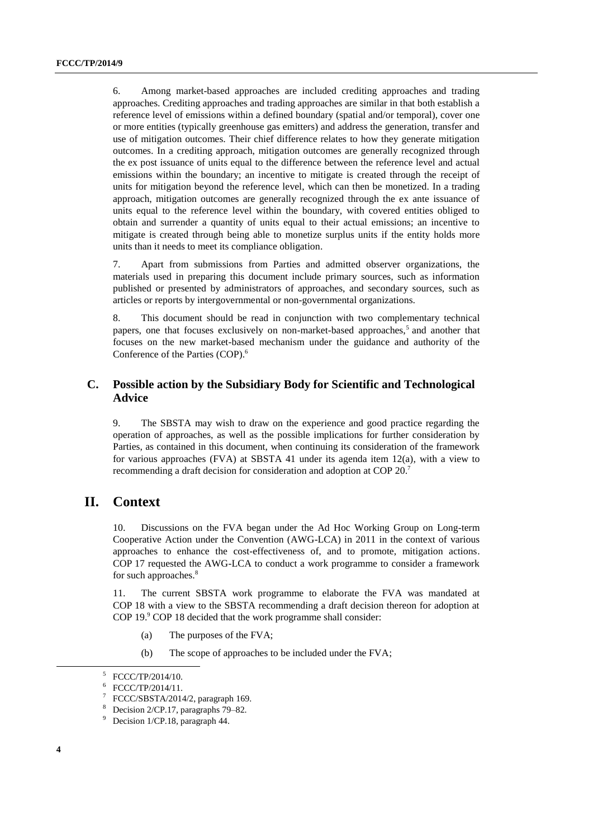6. Among market-based approaches are included crediting approaches and trading approaches. Crediting approaches and trading approaches are similar in that both establish a reference level of emissions within a defined boundary (spatial and/or temporal), cover one or more entities (typically greenhouse gas emitters) and address the generation, transfer and use of mitigation outcomes. Their chief difference relates to how they generate mitigation outcomes. In a crediting approach, mitigation outcomes are generally recognized through the ex post issuance of units equal to the difference between the reference level and actual emissions within the boundary; an incentive to mitigate is created through the receipt of units for mitigation beyond the reference level, which can then be monetized. In a trading approach, mitigation outcomes are generally recognized through the ex ante issuance of units equal to the reference level within the boundary, with covered entities obliged to obtain and surrender a quantity of units equal to their actual emissions; an incentive to mitigate is created through being able to monetize surplus units if the entity holds more units than it needs to meet its compliance obligation.

7. Apart from submissions from Parties and admitted observer organizations, the materials used in preparing this document include primary sources, such as information published or presented by administrators of approaches, and secondary sources, such as articles or reports by intergovernmental or non-governmental organizations.

8. This document should be read in conjunction with two complementary technical papers, one that focuses exclusively on non-market-based approaches,<sup>5</sup> and another that focuses on the new market-based mechanism under the guidance and authority of the Conference of the Parties (COP). 6

## **C. Possible action by the Subsidiary Body for Scientific and Technological Advice**

9. The SBSTA may wish to draw on the experience and good practice regarding the operation of approaches, as well as the possible implications for further consideration by Parties, as contained in this document, when continuing its consideration of the framework for various approaches (FVA) at SBSTA 41 under its agenda item 12(a), with a view to recommending a draft decision for consideration and adoption at COP 20.<sup>7</sup>

## **II. Context**

10. Discussions on the FVA began under the Ad Hoc Working Group on Long-term Cooperative Action under the Convention (AWG-LCA) in 2011 in the context of various approaches to enhance the cost-effectiveness of, and to promote, mitigation actions. COP 17 requested the AWG-LCA to conduct a work programme to consider a framework for such approaches.<sup>8</sup>

11. The current SBSTA work programme to elaborate the FVA was mandated at COP 18 with a view to the SBSTA recommending a draft decision thereon for adoption at COP 19.<sup>9</sup> COP 18 decided that the work programme shall consider:

- (a) The purposes of the FVA;
- (b) The scope of approaches to be included under the FVA;

<sup>5</sup> FCCC/TP/2014/10.

<sup>6</sup> FCCC/TP/2014/11.

<sup>7</sup> FCCC/SBSTA/2014/2, paragraph 169.

Decision 2/CP.17, paragraphs 79–82.

Decision 1/CP.18, paragraph 44.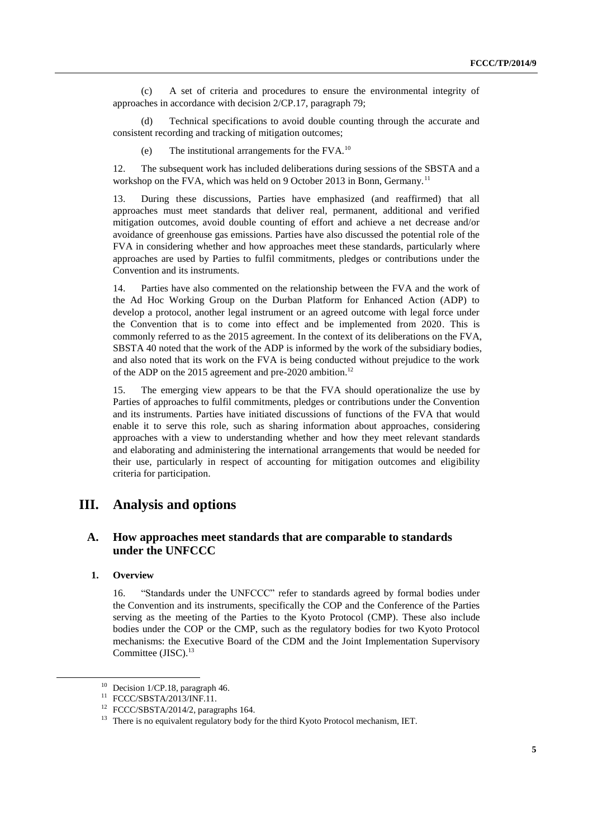(c) A set of criteria and procedures to ensure the environmental integrity of approaches in accordance with decision 2/CP.17, paragraph 79;

(d) Technical specifications to avoid double counting through the accurate and consistent recording and tracking of mitigation outcomes;

(e) The institutional arrangements for the FVA.<sup>10</sup>

12. The subsequent work has included deliberations during sessions of the SBSTA and a workshop on the FVA, which was held on 9 October 2013 in Bonn, Germany.<sup>11</sup>

13. During these discussions, Parties have emphasized (and reaffirmed) that all approaches must meet standards that deliver real, permanent, additional and verified mitigation outcomes, avoid double counting of effort and achieve a net decrease and/or avoidance of greenhouse gas emissions. Parties have also discussed the potential role of the FVA in considering whether and how approaches meet these standards, particularly where approaches are used by Parties to fulfil commitments, pledges or contributions under the Convention and its instruments.

14. Parties have also commented on the relationship between the FVA and the work of the Ad Hoc Working Group on the Durban Platform for Enhanced Action (ADP) to develop a protocol, another legal instrument or an agreed outcome with legal force under the Convention that is to come into effect and be implemented from 2020. This is commonly referred to as the 2015 agreement. In the context of its deliberations on the FVA, SBSTA 40 noted that the work of the ADP is informed by the work of the subsidiary bodies, and also noted that its work on the FVA is being conducted without prejudice to the work of the ADP on the 2015 agreement and pre-2020 ambition.<sup>12</sup>

15. The emerging view appears to be that the FVA should operationalize the use by Parties of approaches to fulfil commitments, pledges or contributions under the Convention and its instruments. Parties have initiated discussions of functions of the FVA that would enable it to serve this role, such as sharing information about approaches, considering approaches with a view to understanding whether and how they meet relevant standards and elaborating and administering the international arrangements that would be needed for their use, particularly in respect of accounting for mitigation outcomes and eligibility criteria for participation.

## **III. Analysis and options**

## **A. How approaches meet standards that are comparable to standards under the UNFCCC**

#### **1. Overview**

-

16. "Standards under the UNFCCC" refer to standards agreed by formal bodies under the Convention and its instruments, specifically the COP and the Conference of the Parties serving as the meeting of the Parties to the Kyoto Protocol (CMP). These also include bodies under the COP or the CMP, such as the regulatory bodies for two Kyoto Protocol mechanisms: the Executive Board of the CDM and the Joint Implementation Supervisory Committee (JISC). 13

 $10$  Decision 1/CP.18, paragraph 46.

<sup>11</sup> FCCC/SBSTA/2013/INF.11.

<sup>&</sup>lt;sup>12</sup> FCCC/SBSTA/2014/2, paragraphs 164.

<sup>&</sup>lt;sup>13</sup> There is no equivalent regulatory body for the third Kyoto Protocol mechanism, IET.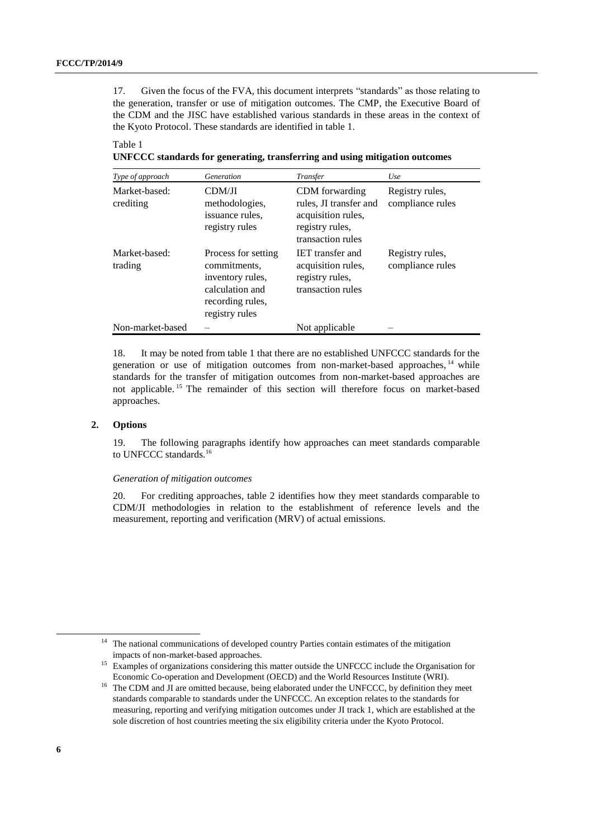17. Given the focus of the FVA, this document interprets "standards" as those relating to the generation, transfer or use of mitigation outcomes. The CMP, the Executive Board of the CDM and the JISC have established various standards in these areas in the context of the Kyoto Protocol. These standards are identified in table 1.

Table 1

**UNFCCC standards for generating, transferring and using mitigation outcomes**

| Type of approach           | Generation                                                                                                       | Transfer                                                                                               | Use                                 |
|----------------------------|------------------------------------------------------------------------------------------------------------------|--------------------------------------------------------------------------------------------------------|-------------------------------------|
| Market-based:<br>crediting | CDM/JI<br>methodologies,<br>issuance rules.<br>registry rules                                                    | CDM forwarding<br>rules, JI transfer and<br>acquisition rules,<br>registry rules,<br>transaction rules | Registry rules,<br>compliance rules |
| Market-based:<br>trading   | Process for setting<br>commitments,<br>inventory rules,<br>calculation and<br>recording rules,<br>registry rules | <b>IET</b> transfer and<br>acquisition rules,<br>registry rules,<br>transaction rules                  | Registry rules,<br>compliance rules |
| Non-market-based           |                                                                                                                  | Not applicable                                                                                         |                                     |

18. It may be noted from table 1 that there are no established UNFCCC standards for the generation or use of mitigation outcomes from non-market-based approaches, <sup>14</sup> while standards for the transfer of mitigation outcomes from non-market-based approaches are not applicable. <sup>15</sup> The remainder of this section will therefore focus on market-based approaches.

#### **2. Options**

19. The following paragraphs identify how approaches can meet standards comparable to UNFCCC standards.<sup>16</sup>

#### *Generation of mitigation outcomes*

20. For crediting approaches, table 2 identifies how they meet standards comparable to CDM/JI methodologies in relation to the establishment of reference levels and the measurement, reporting and verification (MRV) of actual emissions.

<sup>&</sup>lt;sup>14</sup> The national communications of developed country Parties contain estimates of the mitigation impacts of non-market-based approaches.

<sup>15</sup> Examples of organizations considering this matter outside the UNFCCC include the Organisation for Economic Co-operation and Development (OECD) and the World Resources Institute (WRI).

<sup>&</sup>lt;sup>16</sup> The CDM and JI are omitted because, being elaborated under the UNFCCC, by definition they meet standards comparable to standards under the UNFCCC. An exception relates to the standards for measuring, reporting and verifying mitigation outcomes under JI track 1, which are established at the sole discretion of host countries meeting the six eligibility criteria under the Kyoto Protocol.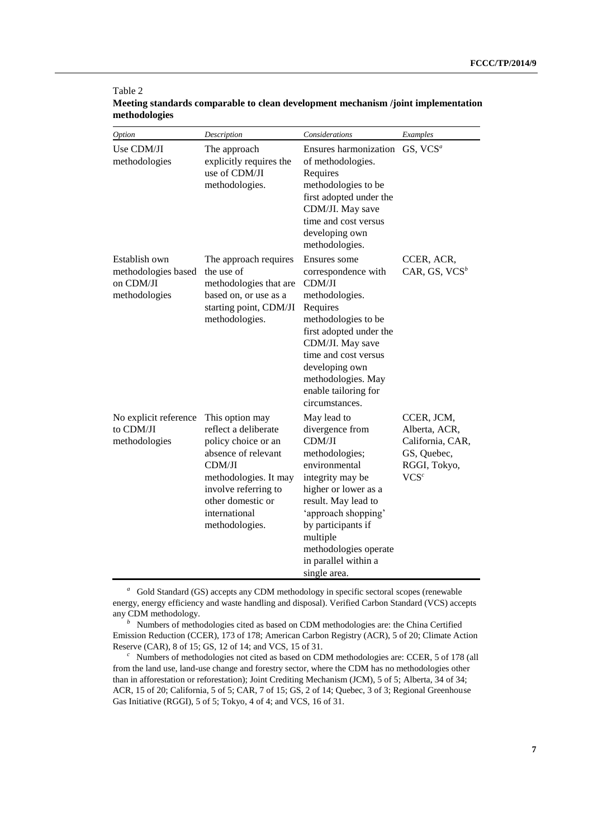| Option                                                             | Description                                                                                                                                                                                              | Considerations                                                                                                                                                                                                                                                           | Examples                                                                                  |
|--------------------------------------------------------------------|----------------------------------------------------------------------------------------------------------------------------------------------------------------------------------------------------------|--------------------------------------------------------------------------------------------------------------------------------------------------------------------------------------------------------------------------------------------------------------------------|-------------------------------------------------------------------------------------------|
| Use CDM/JI<br>methodologies                                        | The approach<br>explicitly requires the<br>use of CDM/JI<br>methodologies.                                                                                                                               | Ensures harmonization GS, VCS <sup>a</sup><br>of methodologies.<br>Requires<br>methodologies to be<br>first adopted under the<br>CDM/JI. May save<br>time and cost versus<br>developing own<br>methodologies.                                                            |                                                                                           |
| Establish own<br>methodologies based<br>on CDM/JI<br>methodologies | The approach requires<br>the use of<br>methodologies that are<br>based on, or use as a<br>starting point, CDM/JI<br>methodologies.                                                                       | Ensures some<br>correspondence with<br>CDM/JI<br>methodologies.<br>Requires<br>methodologies to be<br>first adopted under the<br>CDM/JI. May save<br>time and cost versus<br>developing own<br>methodologies. May<br>enable tailoring for<br>circumstances.              | CCER, ACR,<br>CAR, GS, $VCS^b$                                                            |
| No explicit reference<br>to CDM/JI<br>methodologies                | This option may<br>reflect a deliberate<br>policy choice or an<br>absence of relevant<br>CDM/JI<br>methodologies. It may<br>involve referring to<br>other domestic or<br>international<br>methodologies. | May lead to<br>divergence from<br>CDM/JI<br>methodologies;<br>environmental<br>integrity may be<br>higher or lower as a<br>result. May lead to<br>'approach shopping'<br>by participants if<br>multiple<br>methodologies operate<br>in parallel within a<br>single area. | CCER, JCM,<br>Alberta, ACR,<br>California, CAR,<br>GS, Quebec,<br>RGGI, Tokyo,<br>$VCS^c$ |

### **Meeting standards comparable to clean development mechanism /joint implementation methodologies**

Table 2

<sup>a</sup> Gold Standard (GS) accepts any CDM methodology in specific sectoral scopes (renewable energy, energy efficiency and waste handling and disposal). Verified Carbon Standard (VCS) accepts any CDM methodology.

<sup>&</sup>lt;sup>*b*</sup> Numbers of methodologies cited as based on CDM methodologies are: the China Certified Emission Reduction (CCER), 173 of 178; American Carbon Registry (ACR), 5 of 20; Climate Action Reserve (CAR), 8 of 15; GS, 12 of 14; and VCS, 15 of 31.

*c* Numbers of methodologies not cited as based on CDM methodologies are: CCER, 5 of 178 (all from the land use, land-use change and forestry sector, where the CDM has no methodologies other than in afforestation or reforestation); Joint Crediting Mechanism (JCM), 5 of 5; Alberta, 34 of 34; ACR, 15 of 20; California, 5 of 5; CAR, 7 of 15; GS, 2 of 14; Quebec, 3 of 3; Regional Greenhouse Gas Initiative (RGGI), 5 of 5; Tokyo, 4 of 4; and VCS, 16 of 31.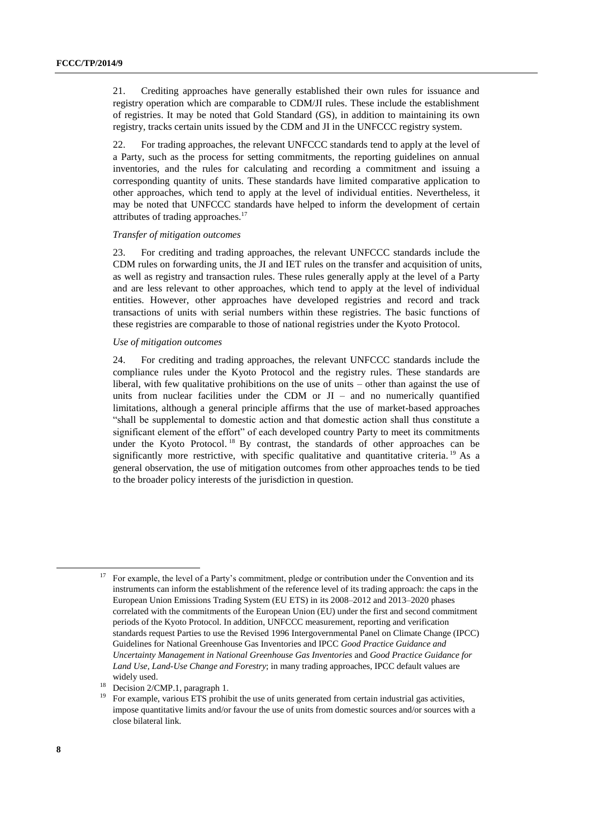21. Crediting approaches have generally established their own rules for issuance and registry operation which are comparable to CDM/JI rules. These include the establishment of registries. It may be noted that Gold Standard (GS), in addition to maintaining its own registry, tracks certain units issued by the CDM and JI in the UNFCCC registry system.

22. For trading approaches, the relevant UNFCCC standards tend to apply at the level of a Party, such as the process for setting commitments, the reporting guidelines on annual inventories, and the rules for calculating and recording a commitment and issuing a corresponding quantity of units. These standards have limited comparative application to other approaches, which tend to apply at the level of individual entities. Nevertheless, it may be noted that UNFCCC standards have helped to inform the development of certain attributes of trading approaches. $17$ 

#### *Transfer of mitigation outcomes*

23. For crediting and trading approaches, the relevant UNFCCC standards include the CDM rules on forwarding units, the JI and IET rules on the transfer and acquisition of units, as well as registry and transaction rules. These rules generally apply at the level of a Party and are less relevant to other approaches, which tend to apply at the level of individual entities. However, other approaches have developed registries and record and track transactions of units with serial numbers within these registries. The basic functions of these registries are comparable to those of national registries under the Kyoto Protocol.

#### *Use of mitigation outcomes*

24. For crediting and trading approaches, the relevant UNFCCC standards include the compliance rules under the Kyoto Protocol and the registry rules. These standards are liberal, with few qualitative prohibitions on the use of units – other than against the use of units from nuclear facilities under the CDM or  $JI - a$ nd no numerically quantified limitations, although a general principle affirms that the use of market-based approaches "shall be supplemental to domestic action and that domestic action shall thus constitute a significant element of the effort" of each developed country Party to meet its commitments under the Kyoto Protocol.<sup>18</sup> By contrast, the standards of other approaches can be significantly more restrictive, with specific qualitative and quantitative criteria. <sup>19</sup> As a general observation, the use of mitigation outcomes from other approaches tends to be tied to the broader policy interests of the jurisdiction in question.

1

<sup>&</sup>lt;sup>17</sup> For example, the level of a Party's commitment, pledge or contribution under the Convention and its instruments can inform the establishment of the reference level of its trading approach: the caps in the European Union Emissions Trading System (EU ETS) in its 2008–2012 and 2013–2020 phases correlated with the commitments of the European Union (EU) under the first and second commitment periods of the Kyoto Protocol. In addition, UNFCCC measurement, reporting and verification standards request Parties to use the Revised 1996 Intergovernmental Panel on Climate Change (IPCC) Guidelines for National Greenhouse Gas Inventories and IPCC *Good Practice Guidance and Uncertainty Management in National Greenhouse Gas Inventories* and *Good Practice Guidance for Land Use, Land-Use Change and Forestry*; in many trading approaches, IPCC default values are widely used.

Decision 2/CMP.1, paragraph 1.

<sup>19</sup> For example, various ETS prohibit the use of units generated from certain industrial gas activities, impose quantitative limits and/or favour the use of units from domestic sources and/or sources with a close bilateral link.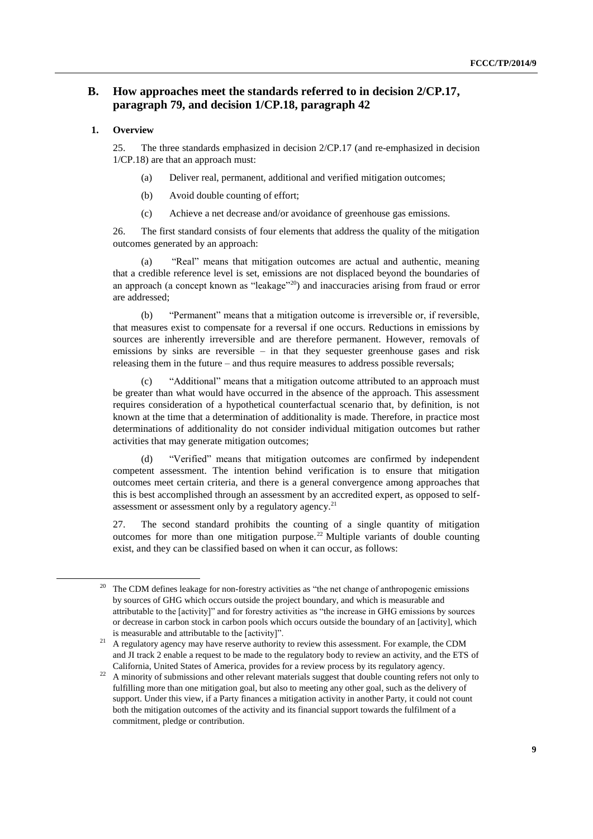## **B. How approaches meet the standards referred to in decision 2/CP.17, paragraph 79, and decision 1/CP.18, paragraph 42**

### **1. Overview**

 $\overline{a}$ 

25. The three standards emphasized in decision 2/CP.17 (and re-emphasized in decision 1/CP.18) are that an approach must:

- (a) Deliver real, permanent, additional and verified mitigation outcomes;
- (b) Avoid double counting of effort;
- (c) Achieve a net decrease and/or avoidance of greenhouse gas emissions.

26. The first standard consists of four elements that address the quality of the mitigation outcomes generated by an approach:

(a) "Real" means that mitigation outcomes are actual and authentic, meaning that a credible reference level is set, emissions are not displaced beyond the boundaries of an approach (a concept known as "leakage"<sup>20</sup>) and inaccuracies arising from fraud or error are addressed;

(b) "Permanent" means that a mitigation outcome is irreversible or, if reversible, that measures exist to compensate for a reversal if one occurs. Reductions in emissions by sources are inherently irreversible and are therefore permanent. However, removals of emissions by sinks are reversible – in that they sequester greenhouse gases and risk releasing them in the future – and thus require measures to address possible reversals;

(c) "Additional" means that a mitigation outcome attributed to an approach must be greater than what would have occurred in the absence of the approach. This assessment requires consideration of a hypothetical counterfactual scenario that, by definition, is not known at the time that a determination of additionality is made. Therefore, in practice most determinations of additionality do not consider individual mitigation outcomes but rather activities that may generate mitigation outcomes;

(d) "Verified" means that mitigation outcomes are confirmed by independent competent assessment. The intention behind verification is to ensure that mitigation outcomes meet certain criteria, and there is a general convergence among approaches that this is best accomplished through an assessment by an accredited expert, as opposed to selfassessment or assessment only by a regulatory agency.<sup>21</sup>

27. The second standard prohibits the counting of a single quantity of mitigation outcomes for more than one mitigation purpose.<sup>22</sup> Multiple variants of double counting exist, and they can be classified based on when it can occur, as follows:

<sup>&</sup>lt;sup>20</sup> The CDM defines leakage for non-forestry activities as "the net change of anthropogenic emissions by sources of GHG which occurs outside the project boundary, and which is measurable and attributable to the [activity]" and for forestry activities as "the increase in GHG emissions by sources or decrease in carbon stock in carbon pools which occurs outside the boundary of an [activity], which is measurable and attributable to the [activity]".

<sup>&</sup>lt;sup>21</sup> A regulatory agency may have reserve authority to review this assessment. For example, the CDM and JI track 2 enable a request to be made to the regulatory body to review an activity, and the ETS of California, United States of America, provides for a review process by its regulatory agency.

<sup>&</sup>lt;sup>22</sup> A minority of submissions and other relevant materials suggest that double counting refers not only to fulfilling more than one mitigation goal, but also to meeting any other goal, such as the delivery of support. Under this view, if a Party finances a mitigation activity in another Party, it could not count both the mitigation outcomes of the activity and its financial support towards the fulfilment of a commitment, pledge or contribution.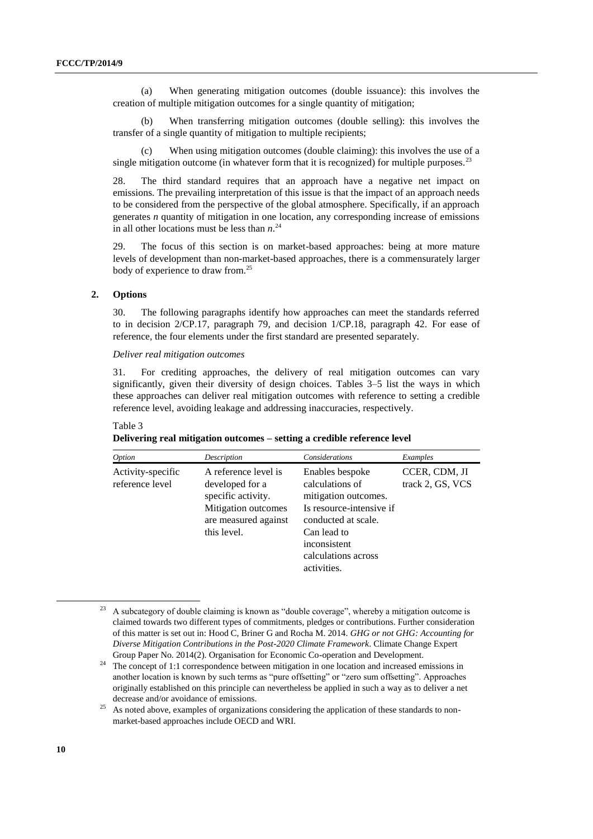(a) When generating mitigation outcomes (double issuance): this involves the creation of multiple mitigation outcomes for a single quantity of mitigation;

(b) When transferring mitigation outcomes (double selling): this involves the transfer of a single quantity of mitigation to multiple recipients;

When using mitigation outcomes (double claiming): this involves the use of a single mitigation outcome (in whatever form that it is recognized) for multiple purposes.<sup>23</sup>

28. The third standard requires that an approach have a negative net impact on emissions. The prevailing interpretation of this issue is that the impact of an approach needs to be considered from the perspective of the global atmosphere. Specifically, if an approach generates *n* quantity of mitigation in one location, any corresponding increase of emissions in all other locations must be less than *n*. 24

29. The focus of this section is on market-based approaches: being at more mature levels of development than non-market-based approaches, there is a commensurately larger body of experience to draw from.<sup>25</sup>

#### **2. Options**

30. The following paragraphs identify how approaches can meet the standards referred to in decision 2/CP.17, paragraph 79, and decision 1/CP.18, paragraph 42. For ease of reference, the four elements under the first standard are presented separately.

### *Deliver real mitigation outcomes*

31. For crediting approaches, the delivery of real mitigation outcomes can vary significantly, given their diversity of design choices. Tables 3–5 list the ways in which these approaches can deliver real mitigation outcomes with reference to setting a credible reference level, avoiding leakage and addressing inaccuracies, respectively.

#### Table 3

|  |  | Delivering real mitigation outcomes - setting a credible reference level |  |  |
|--|--|--------------------------------------------------------------------------|--|--|
|--|--|--------------------------------------------------------------------------|--|--|

| <i>Option</i>                        | Description                                                                                                                 | Considerations                                                                                                                                                                     | Examples                          |
|--------------------------------------|-----------------------------------------------------------------------------------------------------------------------------|------------------------------------------------------------------------------------------------------------------------------------------------------------------------------------|-----------------------------------|
| Activity-specific<br>reference level | A reference level is<br>developed for a<br>specific activity.<br>Mitigation outcomes<br>are measured against<br>this level. | Enables bespoke<br>calculations of<br>mitigation outcomes.<br>Is resource-intensive if<br>conducted at scale.<br>Can lead to<br>inconsistent<br>calculations across<br>activities. | CCER, CDM, JI<br>track 2, GS, VCS |

<sup>23</sup> A subcategory of double claiming is known as "double coverage", whereby a mitigation outcome is claimed towards two different types of commitments, pledges or contributions. Further consideration of this matter is set out in: Hood C, Briner G and Rocha M. 2014. *GHG or not GHG: Accounting for Diverse Mitigation Contributions in the Post-2020 Climate Framework*. Climate Change Expert Group Paper No. 2014(2). Organisation for Economic Co-operation and Development.

 $24$  The concept of 1:1 correspondence between mitigation in one location and increased emissions in another location is known by such terms as "pure offsetting" or "zero sum offsetting". Approaches originally established on this principle can nevertheless be applied in such a way as to deliver a net decrease and/or avoidance of emissions.

1

 $^{25}$  As noted above, examples of organizations considering the application of these standards to nonmarket-based approaches include OECD and WRI.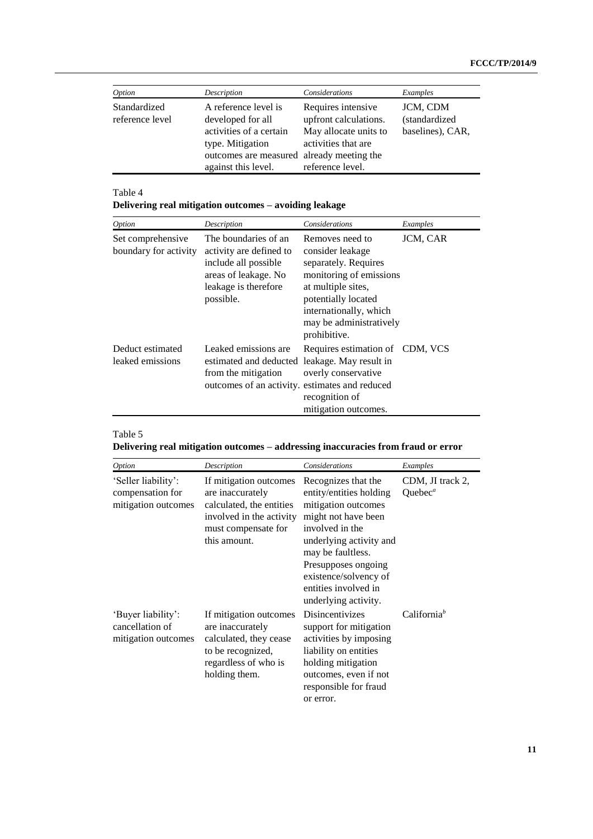| Option                          | Description                                                                                                                                                  | Considerations                                                                                                  | Examples                                      |
|---------------------------------|--------------------------------------------------------------------------------------------------------------------------------------------------------------|-----------------------------------------------------------------------------------------------------------------|-----------------------------------------------|
| Standardized<br>reference level | A reference level is<br>developed for all<br>activities of a certain<br>type. Mitigation<br>outcomes are measured already meeting the<br>against this level. | Requires intensive<br>upfront calculations.<br>May allocate units to<br>activities that are<br>reference level. | JCM, CDM<br>(standardized<br>baselines), CAR, |

### Table 4

**Delivering real mitigation outcomes – avoiding leakage**

| <i>Option</i>                              | Description                                                                                                                                     | Considerations                                                                                                                                                                                           | Examples |
|--------------------------------------------|-------------------------------------------------------------------------------------------------------------------------------------------------|----------------------------------------------------------------------------------------------------------------------------------------------------------------------------------------------------------|----------|
| Set comprehensive<br>boundary for activity | The boundaries of an<br>activity are defined to<br>include all possible<br>areas of leakage. No<br>leakage is therefore<br>possible.            | Removes need to<br>consider leakage<br>separately. Requires<br>monitoring of emissions<br>at multiple sites,<br>potentially located<br>internationally, which<br>may be administratively<br>prohibitive. | JCM, CAR |
| Deduct estimated<br>leaked emissions       | Leaked emissions are.<br>estimated and deducted leakage. May result in<br>from the mitigation<br>outcomes of an activity. estimates and reduced | Requires estimation of CDM, VCS<br>overly conservative<br>recognition of<br>mitigation outcomes.                                                                                                         |          |

## Table 5

**Delivering real mitigation outcomes – addressing inaccuracies from fraud or error**

| Option                                                         | Description                                                                                                                               | Considerations                                                                                                                                                                                                                                                  | Examples                                |
|----------------------------------------------------------------|-------------------------------------------------------------------------------------------------------------------------------------------|-----------------------------------------------------------------------------------------------------------------------------------------------------------------------------------------------------------------------------------------------------------------|-----------------------------------------|
| 'Seller liability':<br>compensation for<br>mitigation outcomes | If mitigation outcomes<br>are inaccurately<br>calculated, the entities<br>involved in the activity<br>must compensate for<br>this amount. | Recognizes that the<br>entity/entities holding<br>mitigation outcomes<br>might not have been<br>involved in the<br>underlying activity and<br>may be faultless.<br>Presupposes ongoing<br>existence/solvency of<br>entities involved in<br>underlying activity. | CDM, JI track 2,<br>Quebec <sup>a</sup> |
| 'Buyer liability':<br>cancellation of<br>mitigation outcomes   | If mitigation outcomes<br>are inaccurately<br>calculated, they cease<br>to be recognized,<br>regardless of who is<br>holding them.        | Disincentivizes<br>support for mitigation<br>activities by imposing<br>liability on entities<br>holding mitigation<br>outcomes, even if not<br>responsible for fraud<br>or error.                                                                               | California <sup>b</sup>                 |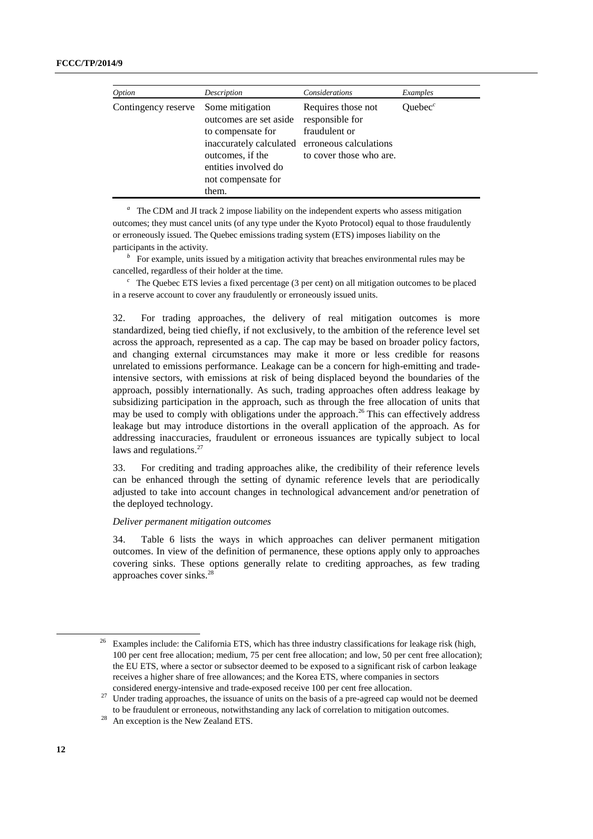| Option              | Description                                                                                                                                                          | Considerations                                                                                              | Examples   |
|---------------------|----------------------------------------------------------------------------------------------------------------------------------------------------------------------|-------------------------------------------------------------------------------------------------------------|------------|
| Contingency reserve | Some mitigation<br>outcomes are set aside<br>to compensate for<br>inaccurately calculated<br>outcomes, if the<br>entities involved do<br>not compensate for<br>them. | Requires those not<br>responsible for<br>fraudulent or<br>erroneous calculations<br>to cover those who are. | Ouebec $c$ |

<sup>a</sup> The CDM and JI track 2 impose liability on the independent experts who assess mitigation outcomes; they must cancel units (of any type under the Kyoto Protocol) equal to those fraudulently or erroneously issued. The Quebec emissions trading system (ETS) imposes liability on the participants in the activity.

<sup>*b*</sup> For example, units issued by a mitigation activity that breaches environmental rules may be cancelled, regardless of their holder at the time.

 $c<sup>c</sup>$  The Quebec ETS levies a fixed percentage (3 per cent) on all mitigation outcomes to be placed in a reserve account to cover any fraudulently or erroneously issued units.

32. For trading approaches, the delivery of real mitigation outcomes is more standardized, being tied chiefly, if not exclusively, to the ambition of the reference level set across the approach, represented as a cap. The cap may be based on broader policy factors, and changing external circumstances may make it more or less credible for reasons unrelated to emissions performance. Leakage can be a concern for high-emitting and tradeintensive sectors, with emissions at risk of being displaced beyond the boundaries of the approach, possibly internationally. As such, trading approaches often address leakage by subsidizing participation in the approach, such as through the free allocation of units that may be used to comply with obligations under the approach.<sup>26</sup> This can effectively address leakage but may introduce distortions in the overall application of the approach. As for addressing inaccuracies, fraudulent or erroneous issuances are typically subject to local laws and regulations.<sup>27</sup>

33. For crediting and trading approaches alike, the credibility of their reference levels can be enhanced through the setting of dynamic reference levels that are periodically adjusted to take into account changes in technological advancement and/or penetration of the deployed technology.

#### *Deliver permanent mitigation outcomes*

34. Table 6 lists the ways in which approaches can deliver permanent mitigation outcomes. In view of the definition of permanence, these options apply only to approaches covering sinks. These options generally relate to crediting approaches, as few trading approaches cover sinks.<sup>28</sup>

<sup>26</sup> Examples include: the California ETS, which has three industry classifications for leakage risk (high, 100 per cent free allocation; medium, 75 per cent free allocation; and low, 50 per cent free allocation); the EU ETS, where a sector or subsector deemed to be exposed to a significant risk of carbon leakage receives a higher share of free allowances; and the Korea ETS, where companies in sectors considered energy-intensive and trade-exposed receive 100 per cent free allocation.

<sup>&</sup>lt;sup>27</sup> Under trading approaches, the issuance of units on the basis of a pre-agreed cap would not be deemed to be fraudulent or erroneous, notwithstanding any lack of correlation to mitigation outcomes.

An exception is the New Zealand ETS.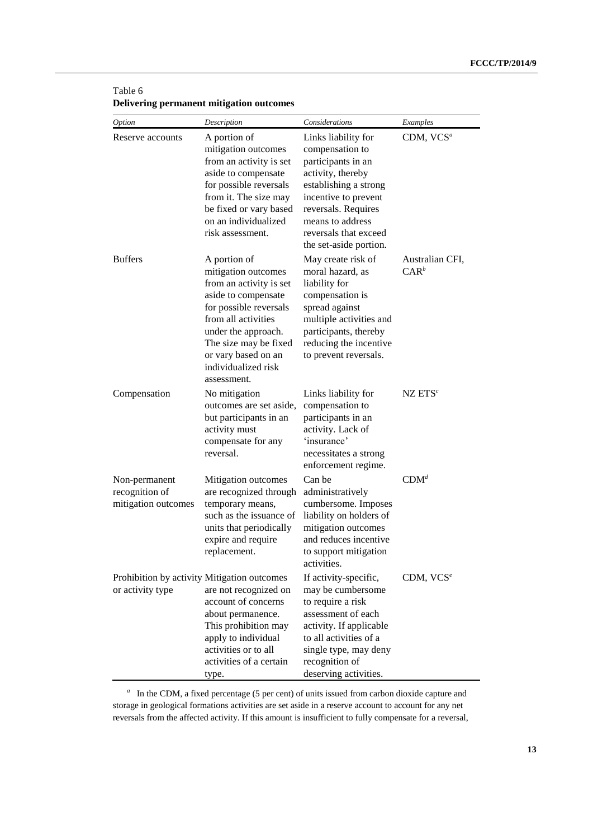| Table 6                                  |  |
|------------------------------------------|--|
| Delivering permanent mitigation outcomes |  |

| Option                                                          | Description                                                                                                                                                                                                                                         | Considerations                                                                                                                                                                                                                   | Examples                   |
|-----------------------------------------------------------------|-----------------------------------------------------------------------------------------------------------------------------------------------------------------------------------------------------------------------------------------------------|----------------------------------------------------------------------------------------------------------------------------------------------------------------------------------------------------------------------------------|----------------------------|
| Reserve accounts                                                | A portion of<br>mitigation outcomes<br>from an activity is set<br>aside to compensate<br>for possible reversals<br>from it. The size may<br>be fixed or vary based<br>on an individualized<br>risk assessment.                                      | Links liability for<br>compensation to<br>participants in an<br>activity, thereby<br>establishing a strong<br>incentive to prevent<br>reversals. Requires<br>means to address<br>reversals that exceed<br>the set-aside portion. | CDM, VCS <sup>a</sup>      |
| <b>Buffers</b>                                                  | A portion of<br>mitigation outcomes<br>from an activity is set<br>aside to compensate<br>for possible reversals<br>from all activities<br>under the approach.<br>The size may be fixed<br>or vary based on an<br>individualized risk<br>assessment. | May create risk of<br>moral hazard, as<br>liability for<br>compensation is<br>spread against<br>multiple activities and<br>participants, thereby<br>reducing the incentive<br>to prevent reversals.                              | Australian CFI,<br>$CAR^b$ |
| Compensation                                                    | No mitigation<br>outcomes are set aside,<br>but participants in an<br>activity must<br>compensate for any<br>reversal.                                                                                                                              | Links liability for<br>compensation to<br>participants in an<br>activity. Lack of<br>'insurance'<br>necessitates a strong<br>enforcement regime.                                                                                 | $NZ$ $ETSc$                |
| Non-permanent<br>recognition of<br>mitigation outcomes          | Mitigation outcomes<br>are recognized through<br>temporary means,<br>such as the issuance of<br>units that periodically<br>expire and require<br>replacement.                                                                                       | Can be<br>administratively<br>cumbersome. Imposes<br>liability on holders of<br>mitigation outcomes<br>and reduces incentive<br>to support mitigation<br>activities.                                                             | $CDM^d$                    |
| Prohibition by activity Mitigation outcomes<br>or activity type | are not recognized on<br>account of concerns<br>about permanence.<br>This prohibition may<br>apply to individual<br>activities or to all<br>activities of a certain<br>type.                                                                        | If activity-specific,<br>may be cumbersome<br>to require a risk<br>assessment of each<br>activity. If applicable<br>to all activities of a<br>single type, may deny<br>recognition of<br>deserving activities.                   | CDM, $VCS^e$               |

<sup>a</sup> In the CDM, a fixed percentage (5 per cent) of units issued from carbon dioxide capture and storage in geological formations activities are set aside in a reserve account to account for any net reversals from the affected activity. If this amount is insufficient to fully compensate for a reversal,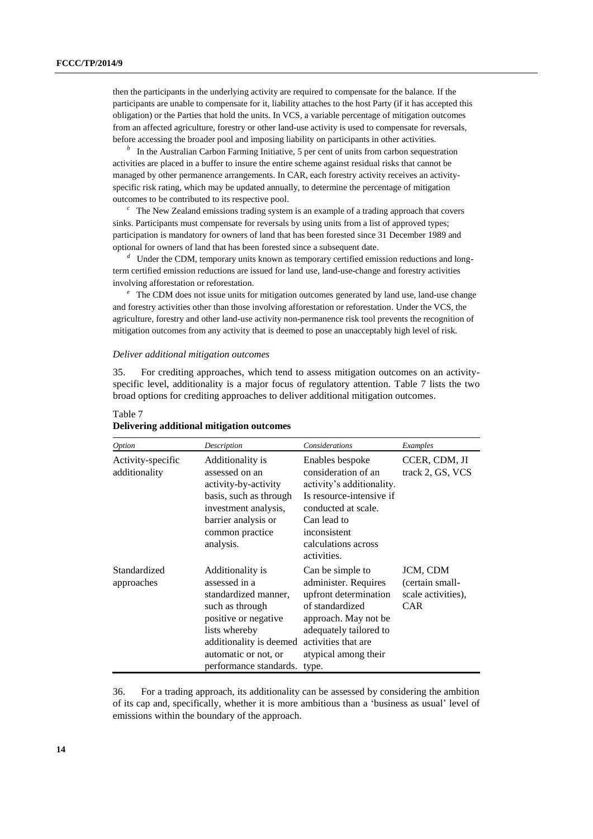then the participants in the underlying activity are required to compensate for the balance. If the participants are unable to compensate for it, liability attaches to the host Party (if it has accepted this obligation) or the Parties that hold the units. In VCS, a variable percentage of mitigation outcomes from an affected agriculture, forestry or other land-use activity is used to compensate for reversals, before accessing the broader pool and imposing liability on participants in other activities.

<sup>*b*</sup> In the Australian Carbon Farming Initiative, 5 per cent of units from carbon sequestration activities are placed in a buffer to insure the entire scheme against residual risks that cannot be managed by other permanence arrangements. In CAR, each forestry activity receives an activityspecific risk rating, which may be updated annually, to determine the percentage of mitigation outcomes to be contributed to its respective pool.

*<sup>c</sup>* The New Zealand emissions trading system is an example of a trading approach that covers sinks. Participants must compensate for reversals by using units from a list of approved types; participation is mandatory for owners of land that has been forested since 31 December 1989 and optional for owners of land that has been forested since a subsequent date.

*<sup>d</sup>* Under the CDM, temporary units known as temporary certified emission reductions and longterm certified emission reductions are issued for land use, land-use-change and forestry activities involving afforestation or reforestation.

*<sup>e</sup>* The CDM does not issue units for mitigation outcomes generated by land use, land-use change and forestry activities other than those involving afforestation or reforestation. Under the VCS, the agriculture, forestry and other land-use activity non-permanence risk tool prevents the recognition of mitigation outcomes from any activity that is deemed to pose an unacceptably high level of risk.

#### *Deliver additional mitigation outcomes*

35. For crediting approaches, which tend to assess mitigation outcomes on an activityspecific level, additionality is a major focus of regulatory attention. Table 7 lists the two broad options for crediting approaches to deliver additional mitigation outcomes.

| <i>Option</i>                      | Description                                                                                                                                                                                        | Considerations                                                                                                                                                                                 | Examples                                                        |
|------------------------------------|----------------------------------------------------------------------------------------------------------------------------------------------------------------------------------------------------|------------------------------------------------------------------------------------------------------------------------------------------------------------------------------------------------|-----------------------------------------------------------------|
| Activity-specific<br>additionality | Additionality is<br>assessed on an<br>activity-by-activity<br>basis, such as through<br>investment analysis,<br>barrier analysis or<br>common practice<br>analysis.                                | Enables bespoke<br>consideration of an<br>activity's additionality.<br>Is resource-intensive if<br>conducted at scale.<br>Can lead to<br>inconsistent<br>calculations across<br>activities.    | CCER, CDM, JI<br>track 2, GS, VCS                               |
| Standardized<br>approaches         | Additionality is<br>assessed in a<br>standardized manner,<br>such as through<br>positive or negative<br>lists whereby<br>additionality is deemed<br>automatic or not, or<br>performance standards. | Can be simple to<br>administer. Requires<br>upfront determination<br>of standardized<br>approach. May not be<br>adequately tailored to<br>activities that are<br>atypical among their<br>type. | JCM, CDM<br>(certain small-<br>scale activities),<br><b>CAR</b> |

#### Table 7 **Delivering additional mitigation outcomes**

36. For a trading approach, its additionality can be assessed by considering the ambition of its cap and, specifically, whether it is more ambitious than a 'business as usual' level of emissions within the boundary of the approach.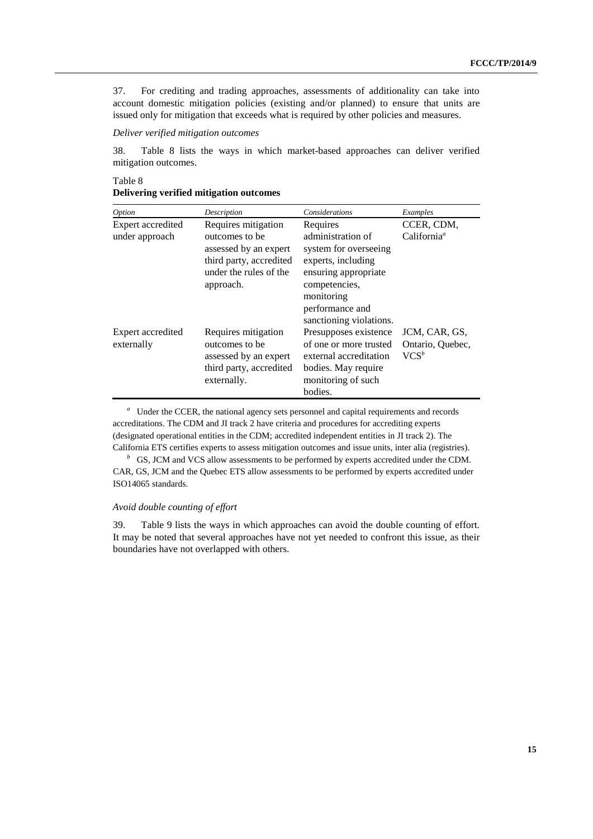37. For crediting and trading approaches, assessments of additionality can take into account domestic mitigation policies (existing and/or planned) to ensure that units are issued only for mitigation that exceeds what is required by other policies and measures.

### *Deliver verified mitigation outcomes*

38. Table 8 lists the ways in which market-based approaches can deliver verified mitigation outcomes.

Table 8

| Option            | Description             | Considerations          | Examples                |
|-------------------|-------------------------|-------------------------|-------------------------|
| Expert accredited | Requires mitigation     | Requires                | CCER, CDM,              |
| under approach    | outcomes to be          | administration of       | California <sup>a</sup> |
|                   | assessed by an expert   | system for overseeing   |                         |
|                   | third party, accredited | experts, including      |                         |
|                   | under the rules of the  | ensuring appropriate    |                         |
|                   | approach.               | competencies,           |                         |
|                   |                         | monitoring              |                         |
|                   |                         | performance and         |                         |
|                   |                         | sanctioning violations. |                         |
| Expert accredited | Requires mitigation     | Presupposes existence   | JCM, CAR, GS,           |
| externally        | outcomes to be          | of one or more trusted  | Ontario, Quebec,        |
|                   | assessed by an expert   | external accreditation  | $VCS^b$                 |
|                   | third party, accredited | bodies. May require     |                         |
|                   | externally.             | monitoring of such      |                         |

**Delivering verified mitigation outcomes**

externally.

<sup>a</sup> Under the CCER, the national agency sets personnel and capital requirements and records accreditations. The CDM and JI track 2 have criteria and procedures for accrediting experts (designated operational entities in the CDM; accredited independent entities in JI track 2). The California ETS certifies experts to assess mitigation outcomes and issue units, inter alia (registries).

bodies.

<sup>*b*</sup> GS, JCM and VCS allow assessments to be performed by experts accredited under the CDM. CAR, GS, JCM and the Quebec ETS allow assessments to be performed by experts accredited under ISO14065 standards.

#### *Avoid double counting of effort*

39. Table 9 lists the ways in which approaches can avoid the double counting of effort. It may be noted that several approaches have not yet needed to confront this issue, as their boundaries have not overlapped with others.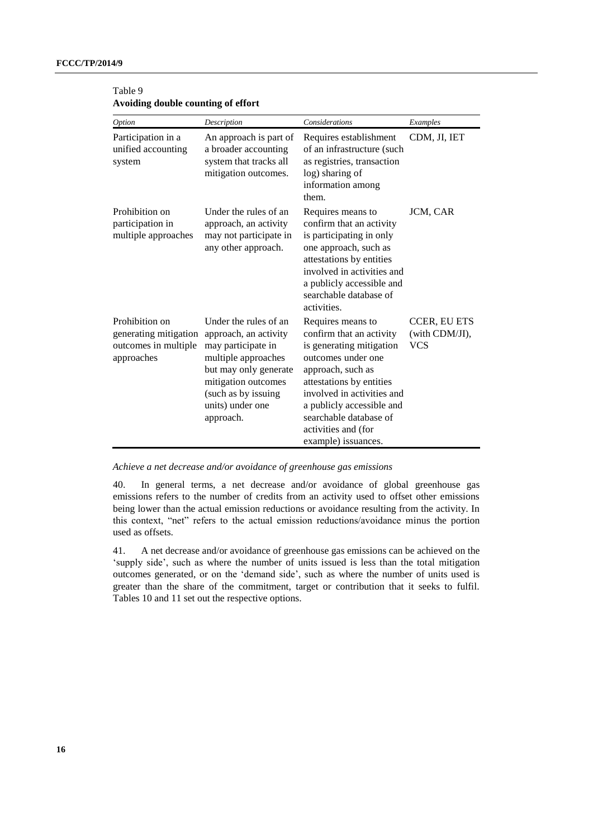| Option                                                                        | Description                                                                                                                                                                                         | <b>Considerations</b>                                                                                                                                                                                                                                                               | Examples                                            |
|-------------------------------------------------------------------------------|-----------------------------------------------------------------------------------------------------------------------------------------------------------------------------------------------------|-------------------------------------------------------------------------------------------------------------------------------------------------------------------------------------------------------------------------------------------------------------------------------------|-----------------------------------------------------|
| Participation in a<br>unified accounting<br>system                            | An approach is part of<br>a broader accounting<br>system that tracks all<br>mitigation outcomes.                                                                                                    | Requires establishment<br>of an infrastructure (such<br>as registries, transaction<br>log) sharing of<br>information among<br>them.                                                                                                                                                 | CDM, JI, IET                                        |
| Prohibition on<br>participation in<br>multiple approaches                     | Under the rules of an<br>approach, an activity<br>may not participate in<br>any other approach.                                                                                                     | Requires means to<br>confirm that an activity<br>is participating in only<br>one approach, such as<br>attestations by entities<br>involved in activities and<br>a publicly accessible and<br>searchable database of<br>activities.                                                  | JCM, CAR                                            |
| Prohibition on<br>generating mitigation<br>outcomes in multiple<br>approaches | Under the rules of an<br>approach, an activity<br>may participate in<br>multiple approaches<br>but may only generate<br>mitigation outcomes<br>(such as by issuing<br>units) under one<br>approach. | Requires means to<br>confirm that an activity<br>is generating mitigation<br>outcomes under one<br>approach, such as<br>attestations by entities<br>involved in activities and<br>a publicly accessible and<br>searchable database of<br>activities and (for<br>example) issuances. | <b>CCER, EU ETS</b><br>(with CDM/JI),<br><b>VCS</b> |

| Table 9                            |
|------------------------------------|
| Avoiding double counting of effort |

*Achieve a net decrease and/or avoidance of greenhouse gas emissions*

40. In general terms, a net decrease and/or avoidance of global greenhouse gas emissions refers to the number of credits from an activity used to offset other emissions being lower than the actual emission reductions or avoidance resulting from the activity. In this context, "net" refers to the actual emission reductions/avoidance minus the portion used as offsets.

41. A net decrease and/or avoidance of greenhouse gas emissions can be achieved on the 'supply side', such as where the number of units issued is less than the total mitigation outcomes generated, or on the 'demand side', such as where the number of units used is greater than the share of the commitment, target or contribution that it seeks to fulfil. Tables 10 and 11 set out the respective options.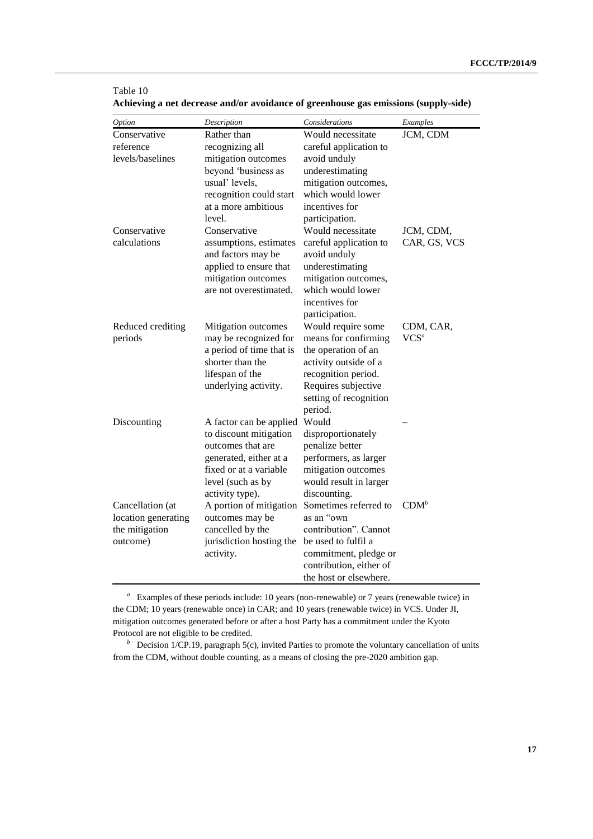| Option                    | Description                                    | Considerations                              | Examples     |
|---------------------------|------------------------------------------------|---------------------------------------------|--------------|
| Conservative<br>reference | Rather than<br>recognizing all                 | Would necessitate<br>careful application to | JCM, CDM     |
| levels/baselines          | mitigation outcomes                            | avoid unduly                                |              |
|                           | beyond 'business as                            | underestimating                             |              |
|                           | usual' levels,                                 | mitigation outcomes,<br>which would lower   |              |
|                           | recognition could start<br>at a more ambitious |                                             |              |
|                           | level.                                         | incentives for                              |              |
| Conservative              | Conservative                                   | participation.<br>Would necessitate         | JCM, CDM,    |
| calculations              | assumptions, estimates                         | careful application to                      | CAR, GS, VCS |
|                           | and factors may be                             | avoid unduly                                |              |
|                           | applied to ensure that                         | underestimating                             |              |
|                           | mitigation outcomes                            | mitigation outcomes,                        |              |
|                           | are not overestimated.                         | which would lower                           |              |
|                           |                                                | incentives for                              |              |
|                           |                                                | participation.                              |              |
| Reduced crediting         | Mitigation outcomes                            | Would require some                          | CDM, CAR,    |
| periods                   | may be recognized for                          | means for confirming                        | $VCS^a$      |
|                           | a period of time that is                       | the operation of an                         |              |
|                           | shorter than the                               | activity outside of a                       |              |
|                           | lifespan of the                                | recognition period.                         |              |
|                           | underlying activity.                           | Requires subjective                         |              |
|                           |                                                | setting of recognition                      |              |
| Discounting               | A factor can be applied                        | period.<br>Would                            |              |
|                           | to discount mitigation                         | disproportionately                          |              |
|                           | outcomes that are                              | penalize better                             |              |
|                           | generated, either at a                         | performers, as larger                       |              |
|                           | fixed or at a variable                         | mitigation outcomes                         |              |
|                           | level (such as by                              | would result in larger                      |              |
|                           | activity type).                                | discounting.                                |              |
| Cancellation (at          | A portion of mitigation                        | Sometimes referred to                       | $CDM^b$      |
| location generating       | outcomes may be                                | as an "own                                  |              |
| the mitigation            | cancelled by the                               | contribution". Cannot                       |              |
| outcome)                  | jurisdiction hosting the                       | be used to fulfil a                         |              |
|                           | activity.                                      | commitment, pledge or                       |              |
|                           |                                                | contribution, either of                     |              |
|                           |                                                | the host or elsewhere.                      |              |

| Achieving a net decrease and/or avoidance of greenhouse gas emissions (supply-side) |  |  |
|-------------------------------------------------------------------------------------|--|--|
|                                                                                     |  |  |

Table 10

<sup>a</sup> Examples of these periods include: 10 years (non-renewable) or 7 years (renewable twice) in the CDM; 10 years (renewable once) in CAR; and 10 years (renewable twice) in VCS. Under JI, mitigation outcomes generated before or after a host Party has a commitment under the Kyoto Protocol are not eligible to be credited.

*b* Decision 1/CP.19, paragraph 5(c), invited Parties to promote the voluntary cancellation of units from the CDM, without double counting, as a means of closing the pre-2020 ambition gap.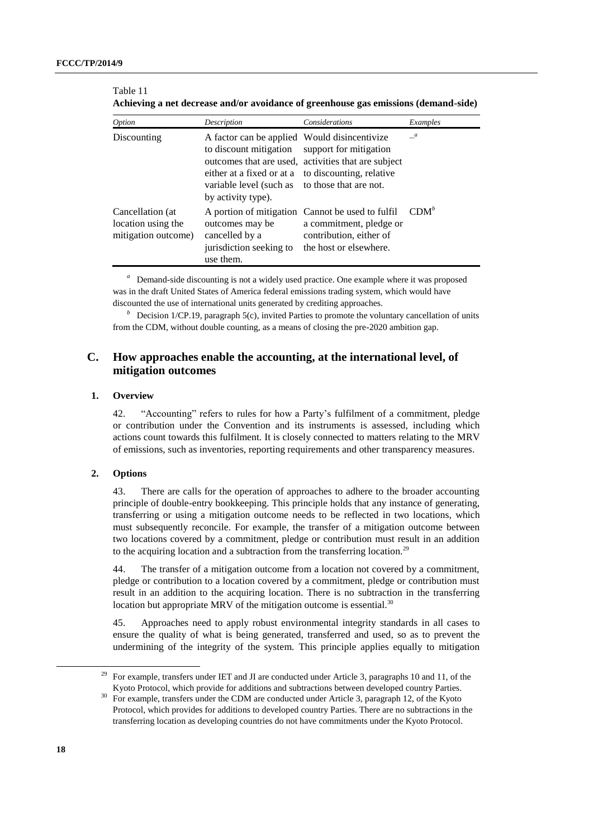Table 11

| <i>Option</i>                                                 | Description                                                                                                                                                                                          | Considerations                                                                                                                   | Examples       |
|---------------------------------------------------------------|------------------------------------------------------------------------------------------------------------------------------------------------------------------------------------------------------|----------------------------------------------------------------------------------------------------------------------------------|----------------|
| Discounting                                                   | A factor can be applied Would disincentivize<br>to discount mitigation<br>either at a fixed or at a to discounting, relative<br>variable level (such as to those that are not.<br>by activity type). | support for mitigation<br>outcomes that are used, activities that are subject                                                    | $\overline{a}$ |
| Cancellation (at<br>location using the<br>mitigation outcome) | outcomes may be<br>cancelled by a<br>jurisdiction seeking to<br>use them.                                                                                                                            | A portion of mitigation Cannot be used to fulfil<br>a commitment, pledge or<br>contribution, either of<br>the host or elsewhere. | $CDM^b$        |

| Achieving a net decrease and/or avoidance of greenhouse gas emissions (demand-side) |
|-------------------------------------------------------------------------------------|
|-------------------------------------------------------------------------------------|

<sup>a</sup> Demand-side discounting is not a widely used practice. One example where it was proposed was in the draft United States of America federal emissions trading system, which would have discounted the use of international units generated by crediting approaches.

<sup>*b*</sup> Decision 1/CP.19, paragraph 5(c), invited Parties to promote the voluntary cancellation of units from the CDM, without double counting, as a means of closing the pre-2020 ambition gap.

## **C. How approaches enable the accounting, at the international level, of mitigation outcomes**

#### **1. Overview**

42. "Accounting" refers to rules for how a Party's fulfilment of a commitment, pledge or contribution under the Convention and its instruments is assessed, including which actions count towards this fulfilment. It is closely connected to matters relating to the MRV of emissions, such as inventories, reporting requirements and other transparency measures.

### **2. Options**

43. There are calls for the operation of approaches to adhere to the broader accounting principle of double-entry bookkeeping. This principle holds that any instance of generating, transferring or using a mitigation outcome needs to be reflected in two locations, which must subsequently reconcile. For example, the transfer of a mitigation outcome between two locations covered by a commitment, pledge or contribution must result in an addition to the acquiring location and a subtraction from the transferring location.<sup>29</sup>

44. The transfer of a mitigation outcome from a location not covered by a commitment, pledge or contribution to a location covered by a commitment, pledge or contribution must result in an addition to the acquiring location. There is no subtraction in the transferring location but appropriate MRV of the mitigation outcome is essential.<sup>30</sup>

45. Approaches need to apply robust environmental integrity standards in all cases to ensure the quality of what is being generated, transferred and used, so as to prevent the undermining of the integrity of the system. This principle applies equally to mitigation

<sup>&</sup>lt;sup>29</sup> For example, transfers under IET and JI are conducted under Article 3, paragraphs 10 and 11, of the Kyoto Protocol, which provide for additions and subtractions between developed country Parties.

<sup>30</sup> For example, transfers under the CDM are conducted under Article 3, paragraph 12, of the Kyoto Protocol, which provides for additions to developed country Parties. There are no subtractions in the transferring location as developing countries do not have commitments under the Kyoto Protocol.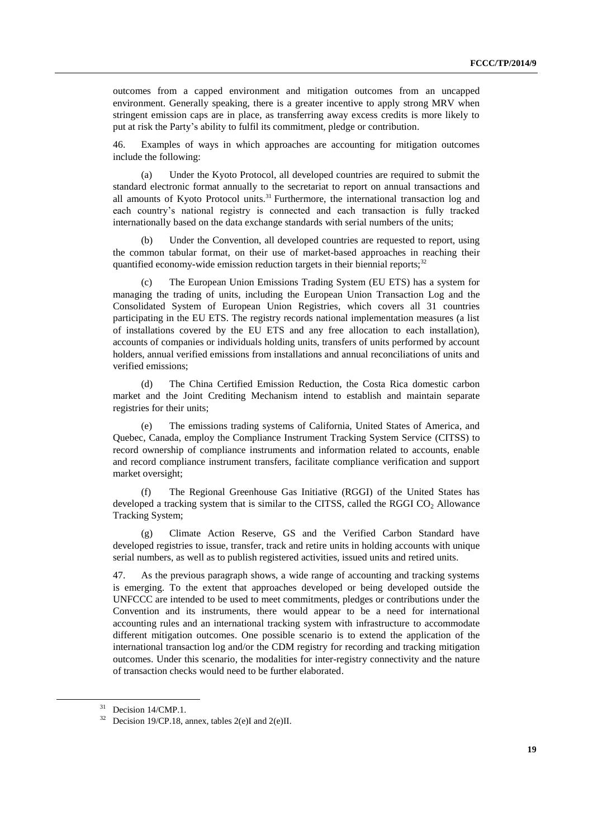outcomes from a capped environment and mitigation outcomes from an uncapped environment. Generally speaking, there is a greater incentive to apply strong MRV when stringent emission caps are in place, as transferring away excess credits is more likely to put at risk the Party's ability to fulfil its commitment, pledge or contribution.

46. Examples of ways in which approaches are accounting for mitigation outcomes include the following:

(a) Under the Kyoto Protocol, all developed countries are required to submit the standard electronic format annually to the secretariat to report on annual transactions and all amounts of Kyoto Protocol units.<sup>31</sup> Furthermore, the international transaction log and each country's national registry is connected and each transaction is fully tracked internationally based on the data exchange standards with serial numbers of the units;

Under the Convention, all developed countries are requested to report, using the common tabular format, on their use of market-based approaches in reaching their quantified economy-wide emission reduction targets in their biennial reports;<sup>32</sup>

The European Union Emissions Trading System (EU ETS) has a system for managing the trading of units, including the European Union Transaction Log and the Consolidated System of European Union Registries, which covers all 31 countries participating in the EU ETS. The registry records national implementation measures (a list of installations covered by the EU ETS and any free allocation to each installation), accounts of companies or individuals holding units, transfers of units performed by account holders, annual verified emissions from installations and annual reconciliations of units and verified emissions;

(d) The China Certified Emission Reduction, the Costa Rica domestic carbon market and the Joint Crediting Mechanism intend to establish and maintain separate registries for their units;

(e) The emissions trading systems of California, United States of America, and Quebec, Canada, employ the Compliance Instrument Tracking System Service (CITSS) to record ownership of compliance instruments and information related to accounts, enable and record compliance instrument transfers, facilitate compliance verification and support market oversight;

(f) The Regional Greenhouse Gas Initiative (RGGI) of the United States has developed a tracking system that is similar to the CITSS, called the RGGI CO<sub>2</sub> Allowance Tracking System;

Climate Action Reserve, GS and the Verified Carbon Standard have developed registries to issue, transfer, track and retire units in holding accounts with unique serial numbers, as well as to publish registered activities, issued units and retired units.

47. As the previous paragraph shows, a wide range of accounting and tracking systems is emerging. To the extent that approaches developed or being developed outside the UNFCCC are intended to be used to meet commitments, pledges or contributions under the Convention and its instruments, there would appear to be a need for international accounting rules and an international tracking system with infrastructure to accommodate different mitigation outcomes. One possible scenario is to extend the application of the international transaction log and/or the CDM registry for recording and tracking mitigation outcomes. Under this scenario, the modalities for inter-registry connectivity and the nature of transaction checks would need to be further elaborated.

<sup>&</sup>lt;sup>31</sup> Decision 14/CMP.1.

 $32$  Decision 19/CP.18, annex, tables 2(e)I and 2(e)II.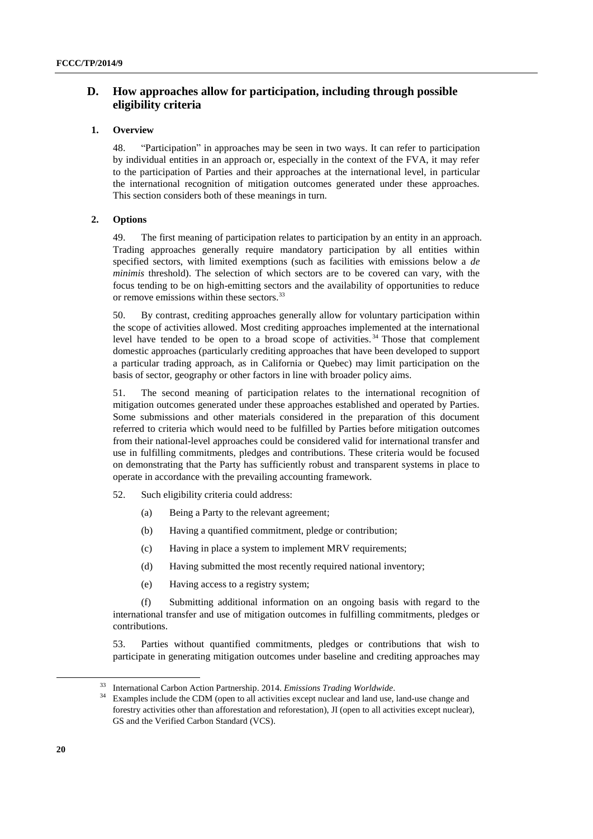## **D. How approaches allow for participation, including through possible eligibility criteria**

### **1. Overview**

48. "Participation" in approaches may be seen in two ways. It can refer to participation by individual entities in an approach or, especially in the context of the FVA, it may refer to the participation of Parties and their approaches at the international level, in particular the international recognition of mitigation outcomes generated under these approaches. This section considers both of these meanings in turn.

### **2. Options**

49. The first meaning of participation relates to participation by an entity in an approach. Trading approaches generally require mandatory participation by all entities within specified sectors, with limited exemptions (such as facilities with emissions below a *de minimis* threshold). The selection of which sectors are to be covered can vary, with the focus tending to be on high-emitting sectors and the availability of opportunities to reduce or remove emissions within these sectors.<sup>33</sup>

50. By contrast, crediting approaches generally allow for voluntary participation within the scope of activities allowed. Most crediting approaches implemented at the international level have tended to be open to a broad scope of activities.<sup>34</sup> Those that complement domestic approaches (particularly crediting approaches that have been developed to support a particular trading approach, as in California or Quebec) may limit participation on the basis of sector, geography or other factors in line with broader policy aims.

51. The second meaning of participation relates to the international recognition of mitigation outcomes generated under these approaches established and operated by Parties. Some submissions and other materials considered in the preparation of this document referred to criteria which would need to be fulfilled by Parties before mitigation outcomes from their national-level approaches could be considered valid for international transfer and use in fulfilling commitments, pledges and contributions. These criteria would be focused on demonstrating that the Party has sufficiently robust and transparent systems in place to operate in accordance with the prevailing accounting framework.

- 52. Such eligibility criteria could address:
	- (a) Being a Party to the relevant agreement;
	- (b) Having a quantified commitment, pledge or contribution;
	- (c) Having in place a system to implement MRV requirements;
	- (d) Having submitted the most recently required national inventory;
	- (e) Having access to a registry system;

(f) Submitting additional information on an ongoing basis with regard to the international transfer and use of mitigation outcomes in fulfilling commitments, pledges or contributions.

53. Parties without quantified commitments, pledges or contributions that wish to participate in generating mitigation outcomes under baseline and crediting approaches may

-

<sup>33</sup> International Carbon Action Partnership. 2014. *Emissions Trading Worldwide*.

Examples include the CDM (open to all activities except nuclear and land use, land-use change and forestry activities other than afforestation and reforestation), JI (open to all activities except nuclear), GS and the Verified Carbon Standard (VCS).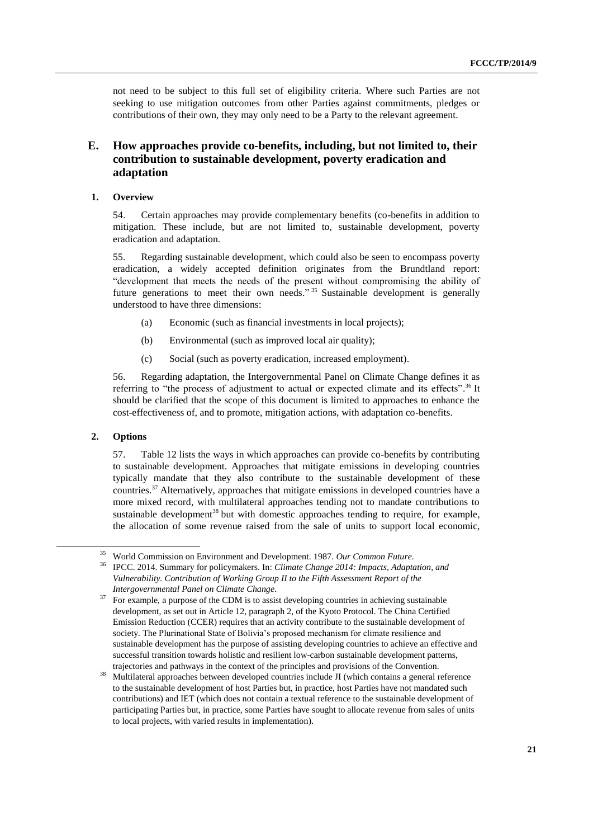not need to be subject to this full set of eligibility criteria. Where such Parties are not seeking to use mitigation outcomes from other Parties against commitments, pledges or contributions of their own, they may only need to be a Party to the relevant agreement.

## **E. How approaches provide co-benefits, including, but not limited to, their contribution to sustainable development, poverty eradication and adaptation**

## **1. Overview**

54. Certain approaches may provide complementary benefits (co-benefits in addition to mitigation. These include, but are not limited to, sustainable development, poverty eradication and adaptation.

55. Regarding sustainable development, which could also be seen to encompass poverty eradication, a widely accepted definition originates from the Brundtland report: "development that meets the needs of the present without compromising the ability of future generations to meet their own needs."<sup>35</sup> Sustainable development is generally understood to have three dimensions:

- (a) Economic (such as financial investments in local projects);
- (b) Environmental (such as improved local air quality);
- (c) Social (such as poverty eradication, increased employment).

56. Regarding adaptation, the Intergovernmental Panel on Climate Change defines it as referring to "the process of adjustment to actual or expected climate and its effects".<sup>36</sup> It should be clarified that the scope of this document is limited to approaches to enhance the cost-effectiveness of, and to promote, mitigation actions, with adaptation co-benefits.

### **2. Options**

 $\overline{a}$ 

57. Table 12 lists the ways in which approaches can provide co-benefits by contributing to sustainable development. Approaches that mitigate emissions in developing countries typically mandate that they also contribute to the sustainable development of these countries. <sup>37</sup> Alternatively, approaches that mitigate emissions in developed countries have a more mixed record, with multilateral approaches tending not to mandate contributions to sustainable development<sup>38</sup> but with domestic approaches tending to require, for example, the allocation of some revenue raised from the sale of units to support local economic,

<sup>35</sup> World Commission on Environment and Development. 1987. *Our Common Future*.

<sup>36</sup> IPCC. 2014. Summary for policymakers. In: *Climate Change 2014: Impacts, Adaptation, and Vulnerability. Contribution of Working Group II to the Fifth Assessment Report of the Intergovernmental Panel on Climate Change*.

<sup>&</sup>lt;sup>37</sup> For example, a purpose of the CDM is to assist developing countries in achieving sustainable development, as set out in Article 12, paragraph 2, of the Kyoto Protocol. The China Certified Emission Reduction (CCER) requires that an activity contribute to the sustainable development of society. The Plurinational State of Bolivia's proposed mechanism for climate resilience and sustainable development has the purpose of assisting developing countries to achieve an effective and successful transition towards holistic and resilient low-carbon sustainable development patterns, trajectories and pathways in the context of the principles and provisions of the Convention.

<sup>38</sup> Multilateral approaches between developed countries include JI (which contains a general reference to the sustainable development of host Parties but, in practice, host Parties have not mandated such contributions) and IET (which does not contain a textual reference to the sustainable development of participating Parties but, in practice, some Parties have sought to allocate revenue from sales of units to local projects, with varied results in implementation).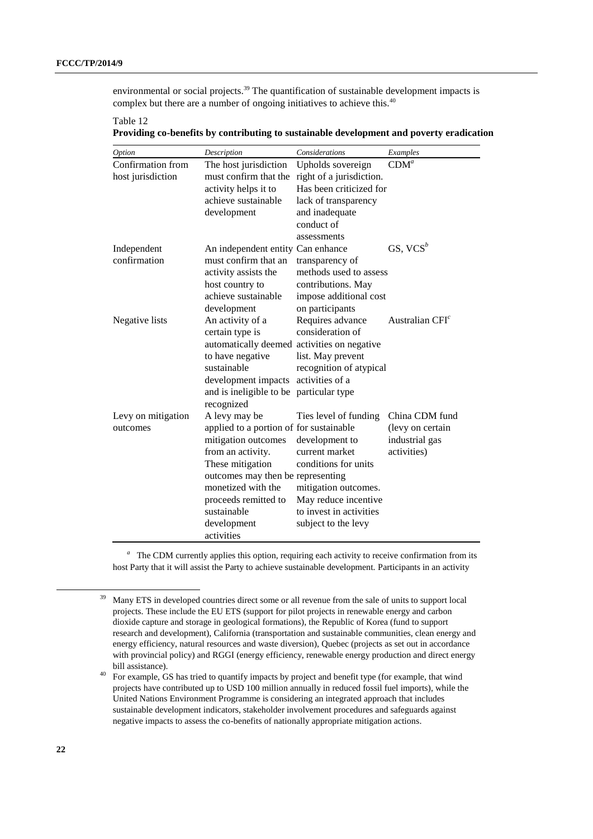environmental or social projects.<sup>39</sup> The quantification of sustainable development impacts is complex but there are a number of ongoing initiatives to achieve this.<sup>40</sup>

| able |  |
|------|--|
|      |  |

**Providing co-benefits by contributing to sustainable development and poverty eradication**

| Option                                 | Description                                           | Considerations                                | Examples          |  |  |
|----------------------------------------|-------------------------------------------------------|-----------------------------------------------|-------------------|--|--|
| Confirmation from<br>host jurisdiction | The host jurisdiction<br>must confirm that the        | Upholds sovereign<br>right of a jurisdiction. | CDM <sup>a</sup>  |  |  |
|                                        | activity helps it to                                  | Has been criticized for                       |                   |  |  |
|                                        | achieve sustainable                                   | lack of transparency                          |                   |  |  |
|                                        | development                                           | and inadequate                                |                   |  |  |
|                                        |                                                       | conduct of                                    |                   |  |  |
|                                        |                                                       | assessments                                   |                   |  |  |
| Independent                            | An independent entity Can enhance                     |                                               | GS, $VCS^b$       |  |  |
| confirmation                           | must confirm that an                                  | transparency of                               |                   |  |  |
|                                        | activity assists the                                  | methods used to assess                        |                   |  |  |
|                                        | host country to                                       | contributions. May                            |                   |  |  |
|                                        | achieve sustainable                                   | impose additional cost                        |                   |  |  |
|                                        | development                                           | on participants                               |                   |  |  |
| Negative lists                         | An activity of a                                      | Requires advance                              | Australian $CFIc$ |  |  |
|                                        | certain type is                                       | consideration of                              |                   |  |  |
|                                        | automatically deemed activities on negative           |                                               |                   |  |  |
|                                        | to have negative                                      | list. May prevent                             |                   |  |  |
|                                        | sustainable                                           | recognition of atypical<br>activities of a    |                   |  |  |
|                                        | development impacts                                   |                                               |                   |  |  |
|                                        | and is ineligible to be particular type<br>recognized |                                               |                   |  |  |
| Levy on mitigation                     | A levy may be                                         | Ties level of funding                         | China CDM fund    |  |  |
| outcomes                               | applied to a portion of for sustainable               |                                               | (levy on certain  |  |  |
|                                        | mitigation outcomes                                   | development to                                | industrial gas    |  |  |
|                                        | from an activity.                                     | current market                                | activities)       |  |  |
|                                        | These mitigation                                      | conditions for units                          |                   |  |  |
|                                        | outcomes may then be representing                     |                                               |                   |  |  |
|                                        | monetized with the                                    | mitigation outcomes.                          |                   |  |  |
|                                        | proceeds remitted to                                  | May reduce incentive                          |                   |  |  |
|                                        | sustainable                                           | to invest in activities                       |                   |  |  |
|                                        | development                                           | subject to the levy                           |                   |  |  |
|                                        | activities                                            |                                               |                   |  |  |

<sup>a</sup> The CDM currently applies this option, requiring each activity to receive confirmation from its host Party that it will assist the Party to achieve sustainable development. Participants in an activity

-

<sup>&</sup>lt;sup>39</sup> Many ETS in developed countries direct some or all revenue from the sale of units to support local projects. These include the EU ETS (support for pilot projects in renewable energy and carbon dioxide capture and storage in geological formations), the Republic of Korea (fund to support research and development), California (transportation and sustainable communities, clean energy and energy efficiency, natural resources and waste diversion), Quebec (projects as set out in accordance with provincial policy) and RGGI (energy efficiency, renewable energy production and direct energy bill assistance).

<sup>&</sup>lt;sup>40</sup> For example, GS has tried to quantify impacts by project and benefit type (for example, that wind projects have contributed up to USD 100 million annually in reduced fossil fuel imports), while the United Nations Environment Programme is considering an integrated approach that includes sustainable development indicators, stakeholder involvement procedures and safeguards against negative impacts to assess the co-benefits of nationally appropriate mitigation actions.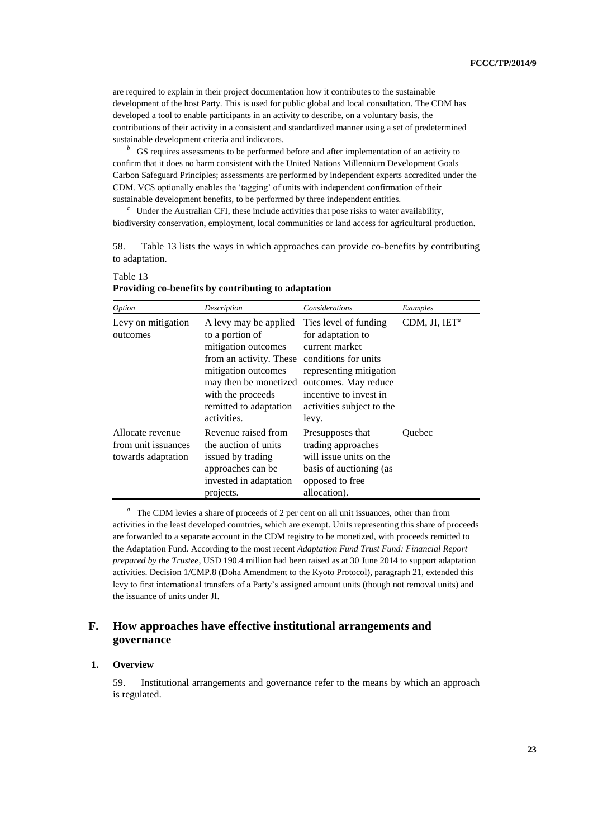are required to explain in their project documentation how it contributes to the sustainable development of the host Party. This is used for public global and local consultation. The CDM has developed a tool to enable participants in an activity to describe, on a voluntary basis, the contributions of their activity in a consistent and standardized manner using a set of predetermined sustainable development criteria and indicators.

<sup>*b*</sup> GS requires assessments to be performed before and after implementation of an activity to confirm that it does no harm consistent with the United Nations Millennium Development Goals Carbon Safeguard Principles; assessments are performed by independent experts accredited under the CDM. VCS optionally enables the 'tagging' of units with independent confirmation of their sustainable development benefits, to be performed by three independent entities.

<sup>c</sup> Under the Australian CFI, these include activities that pose risks to water availability, biodiversity conservation, employment, local communities or land access for agricultural production.

58. Table 13 lists the ways in which approaches can provide co-benefits by contributing to adaptation.

| Option                                                        | Description                                                                                                                                                                                              | Considerations                                                                                                                                                                                          | Examples                  |
|---------------------------------------------------------------|----------------------------------------------------------------------------------------------------------------------------------------------------------------------------------------------------------|---------------------------------------------------------------------------------------------------------------------------------------------------------------------------------------------------------|---------------------------|
| Levy on mitigation<br>outcomes                                | A levy may be applied<br>to a portion of<br>mitigation outcomes<br>from an activity. These<br>mitigation outcomes<br>may then be monetized<br>with the proceeds<br>remitted to adaptation<br>activities. | Ties level of funding<br>for adaptation to<br>current market<br>conditions for units<br>representing mitigation<br>outcomes. May reduce<br>incentive to invest in<br>activities subject to the<br>levy. | CDM, JI, IET <sup>a</sup> |
| Allocate revenue<br>from unit issuances<br>towards adaptation | Revenue raised from<br>the auction of units<br>issued by trading<br>approaches can be<br>invested in adaptation<br>projects.                                                                             | Presupposes that<br>trading approaches<br>will issue units on the<br>basis of auctioning (as<br>opposed to free<br>allocation).                                                                         | Quebec                    |

**Providing co-benefits by contributing to adaptation**

<sup>a</sup> The CDM levies a share of proceeds of 2 per cent on all unit issuances, other than from activities in the least developed countries, which are exempt. Units representing this share of proceeds are forwarded to a separate account in the CDM registry to be monetized, with proceeds remitted to the Adaptation Fund. According to the most recent *Adaptation Fund Trust Fund: Financial Report prepared by the Trustee*, USD 190.4 million had been raised as at 30 June 2014 to support adaptation activities. Decision 1/CMP.8 (Doha Amendment to the Kyoto Protocol), paragraph 21, extended this levy to first international transfers of a Party's assigned amount units (though not removal units) and the issuance of units under JI.

## **F. How approaches have effective institutional arrangements and governance**

### **1. Overview**

Table 13

59. Institutional arrangements and governance refer to the means by which an approach is regulated.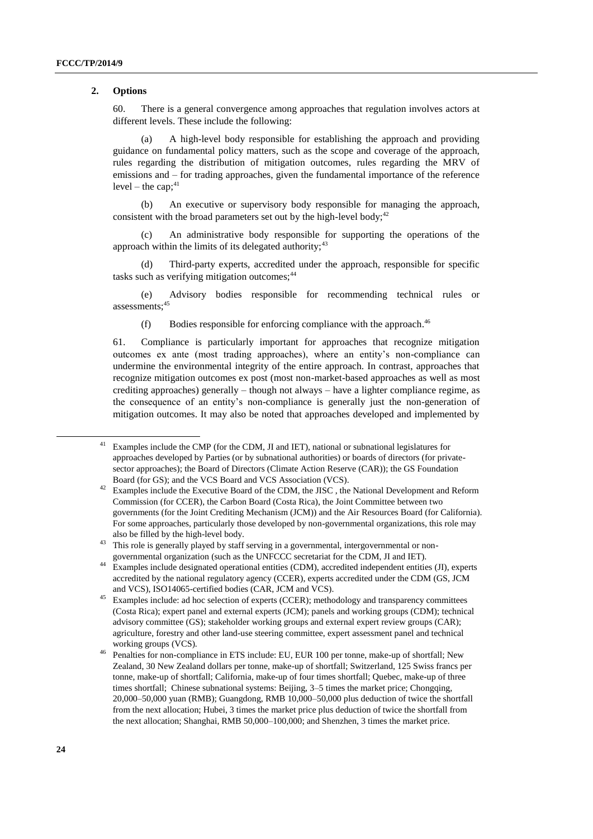#### **2. Options**

60. There is a general convergence among approaches that regulation involves actors at different levels. These include the following:

(a) A high-level body responsible for establishing the approach and providing guidance on fundamental policy matters, such as the scope and coverage of the approach, rules regarding the distribution of mitigation outcomes, rules regarding the MRV of emissions and – for trading approaches, given the fundamental importance of the reference  $level - the cap; 41$ 

(b) An executive or supervisory body responsible for managing the approach, consistent with the broad parameters set out by the high-level body;  $42$ 

(c) An administrative body responsible for supporting the operations of the approach within the limits of its delegated authority;  $43$ 

(d) Third-party experts, accredited under the approach, responsible for specific tasks such as verifying mitigation outcomes;<sup>44</sup>

(e) Advisory bodies responsible for recommending technical rules or assessments:<sup>45</sup>

(f) Bodies responsible for enforcing compliance with the approach. $46$ 

61. Compliance is particularly important for approaches that recognize mitigation outcomes ex ante (most trading approaches), where an entity's non-compliance can undermine the environmental integrity of the entire approach. In contrast, approaches that recognize mitigation outcomes ex post (most non-market-based approaches as well as most crediting approaches) generally – though not always – have a lighter compliance regime, as the consequence of an entity's non-compliance is generally just the non-generation of mitigation outcomes. It may also be noted that approaches developed and implemented by

<sup>43</sup> This role is generally played by staff serving in a governmental, intergovernmental or nongovernmental organization (such as the UNFCCC secretariat for the CDM, JI and IET).

1

<sup>&</sup>lt;sup>41</sup> Examples include the CMP (for the CDM, JI and IET), national or subnational legislatures for approaches developed by Parties (or by subnational authorities) or boards of directors (for privatesector approaches); the Board of Directors (Climate Action Reserve (CAR)); the GS Foundation Board (for GS); and the VCS Board and VCS Association (VCS).

<sup>&</sup>lt;sup>42</sup> Examples include the Executive Board of the CDM, the JISC, the National Development and Reform Commission (for CCER), the Carbon Board (Costa Rica), the Joint Committee between two governments (for the Joint Crediting Mechanism (JCM)) and the Air Resources Board (for California). For some approaches, particularly those developed by non-governmental organizations, this role may also be filled by the high-level body.

<sup>&</sup>lt;sup>44</sup> Examples include designated operational entities (CDM), accredited independent entities (JI), experts accredited by the national regulatory agency (CCER), experts accredited under the CDM (GS, JCM and VCS), ISO14065-certified bodies (CAR, JCM and VCS).

<sup>&</sup>lt;sup>45</sup> Examples include: ad hoc selection of experts (CCER); methodology and transparency committees (Costa Rica); expert panel and external experts (JCM); panels and working groups (CDM); technical advisory committee (GS); stakeholder working groups and external expert review groups (CAR); agriculture, forestry and other land-use steering committee, expert assessment panel and technical working groups (VCS).

<sup>46</sup> Penalties for non-compliance in ETS include: EU, EUR 100 per tonne, make-up of shortfall; New Zealand, 30 New Zealand dollars per tonne, make-up of shortfall; Switzerland, 125 Swiss francs per tonne, make-up of shortfall; California, make-up of four times shortfall; Quebec, make-up of three times shortfall; Chinese subnational systems: Beijing, 3–5 times the market price; Chongqing, 20,000–50,000 yuan (RMB); Guangdong, RMB 10,000–50,000 plus deduction of twice the shortfall from the next allocation; Hubei, 3 times the market price plus deduction of twice the shortfall from the next allocation; Shanghai, RMB 50,000–100,000; and Shenzhen, 3 times the market price.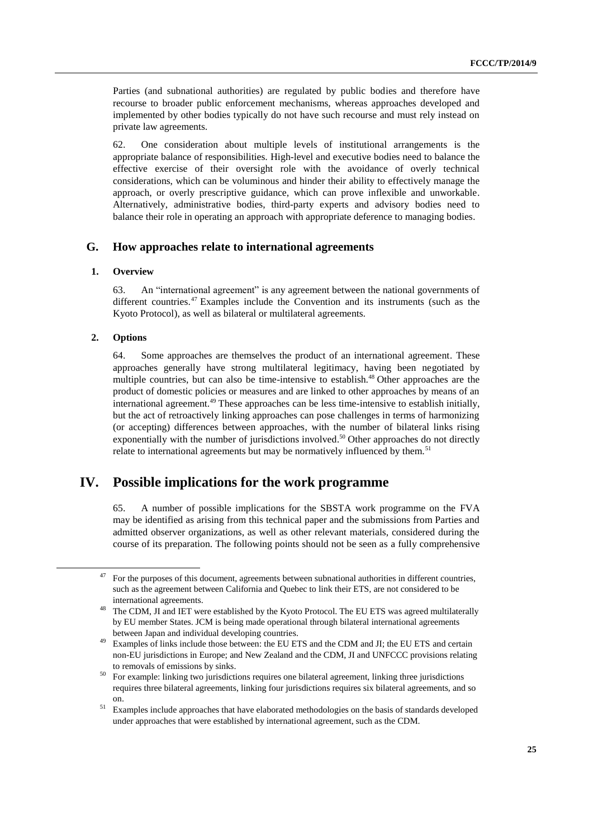Parties (and subnational authorities) are regulated by public bodies and therefore have recourse to broader public enforcement mechanisms, whereas approaches developed and implemented by other bodies typically do not have such recourse and must rely instead on private law agreements.

62. One consideration about multiple levels of institutional arrangements is the appropriate balance of responsibilities. High-level and executive bodies need to balance the effective exercise of their oversight role with the avoidance of overly technical considerations, which can be voluminous and hinder their ability to effectively manage the approach, or overly prescriptive guidance, which can prove inflexible and unworkable. Alternatively, administrative bodies, third-party experts and advisory bodies need to balance their role in operating an approach with appropriate deference to managing bodies.

### **G. How approaches relate to international agreements**

#### **1. Overview**

63. An "international agreement" is any agreement between the national governments of different countries.<sup>47</sup> Examples include the Convention and its instruments (such as the Kyoto Protocol), as well as bilateral or multilateral agreements.

#### **2. Options**

1

64. Some approaches are themselves the product of an international agreement. These approaches generally have strong multilateral legitimacy, having been negotiated by multiple countries, but can also be time-intensive to establish.<sup>48</sup> Other approaches are the product of domestic policies or measures and are linked to other approaches by means of an international agreement.<sup>49</sup> These approaches can be less time-intensive to establish initially, but the act of retroactively linking approaches can pose challenges in terms of harmonizing (or accepting) differences between approaches, with the number of bilateral links rising exponentially with the number of jurisdictions involved.<sup>50</sup> Other approaches do not directly relate to international agreements but may be normatively influenced by them.<sup>51</sup>

## **IV. Possible implications for the work programme**

65. A number of possible implications for the SBSTA work programme on the FVA may be identified as arising from this technical paper and the submissions from Parties and admitted observer organizations, as well as other relevant materials, considered during the course of its preparation. The following points should not be seen as a fully comprehensive

 $47$  For the purposes of this document, agreements between subnational authorities in different countries, such as the agreement between California and Quebec to link their ETS, are not considered to be international agreements.

<sup>&</sup>lt;sup>48</sup> The CDM, JI and IET were established by the Kyoto Protocol. The EU ETS was agreed multilaterally by EU member States. JCM is being made operational through bilateral international agreements between Japan and individual developing countries.

<sup>&</sup>lt;sup>49</sup> Examples of links include those between: the EU ETS and the CDM and JI; the EU ETS and certain non-EU jurisdictions in Europe; and New Zealand and the CDM, JI and UNFCCC provisions relating to removals of emissions by sinks.

<sup>&</sup>lt;sup>50</sup> For example: linking two jurisdictions requires one bilateral agreement, linking three jurisdictions requires three bilateral agreements, linking four jurisdictions requires six bilateral agreements, and so on.

<sup>&</sup>lt;sup>51</sup> Examples include approaches that have elaborated methodologies on the basis of standards developed under approaches that were established by international agreement, such as the CDM.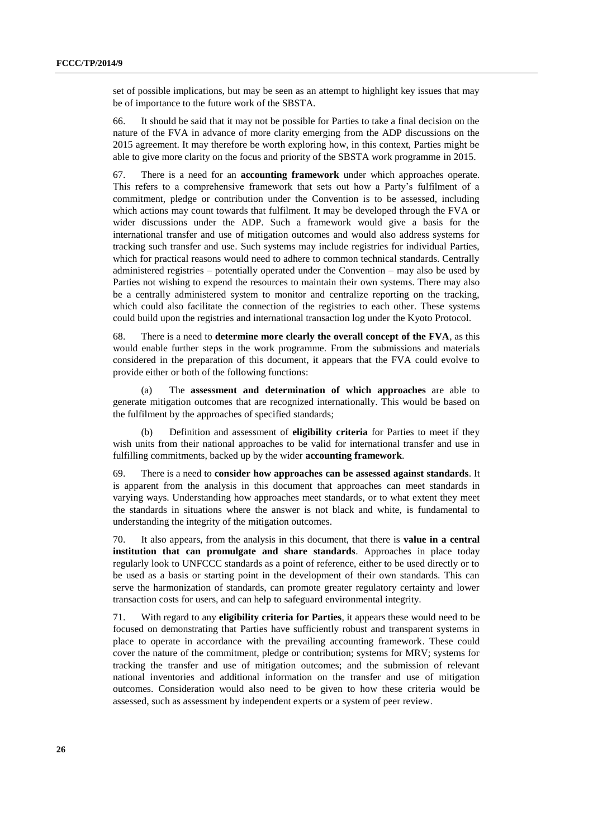set of possible implications, but may be seen as an attempt to highlight key issues that may be of importance to the future work of the SBSTA.

66. It should be said that it may not be possible for Parties to take a final decision on the nature of the FVA in advance of more clarity emerging from the ADP discussions on the 2015 agreement. It may therefore be worth exploring how, in this context, Parties might be able to give more clarity on the focus and priority of the SBSTA work programme in 2015.

67. There is a need for an **accounting framework** under which approaches operate. This refers to a comprehensive framework that sets out how a Party's fulfilment of a commitment, pledge or contribution under the Convention is to be assessed, including which actions may count towards that fulfilment. It may be developed through the FVA or wider discussions under the ADP. Such a framework would give a basis for the international transfer and use of mitigation outcomes and would also address systems for tracking such transfer and use. Such systems may include registries for individual Parties, which for practical reasons would need to adhere to common technical standards. Centrally administered registries – potentially operated under the Convention – may also be used by Parties not wishing to expend the resources to maintain their own systems. There may also be a centrally administered system to monitor and centralize reporting on the tracking, which could also facilitate the connection of the registries to each other. These systems could build upon the registries and international transaction log under the Kyoto Protocol.

68. There is a need to **determine more clearly the overall concept of the FVA**, as this would enable further steps in the work programme. From the submissions and materials considered in the preparation of this document, it appears that the FVA could evolve to provide either or both of the following functions:

(a) The **assessment and determination of which approaches** are able to generate mitigation outcomes that are recognized internationally. This would be based on the fulfilment by the approaches of specified standards;

(b) Definition and assessment of **eligibility criteria** for Parties to meet if they wish units from their national approaches to be valid for international transfer and use in fulfilling commitments, backed up by the wider **accounting framework**.

69. There is a need to **consider how approaches can be assessed against standards**. It is apparent from the analysis in this document that approaches can meet standards in varying ways. Understanding how approaches meet standards, or to what extent they meet the standards in situations where the answer is not black and white, is fundamental to understanding the integrity of the mitigation outcomes.

70. It also appears, from the analysis in this document, that there is **value in a central institution that can promulgate and share standards**. Approaches in place today regularly look to UNFCCC standards as a point of reference, either to be used directly or to be used as a basis or starting point in the development of their own standards. This can serve the harmonization of standards, can promote greater regulatory certainty and lower transaction costs for users, and can help to safeguard environmental integrity.

71. With regard to any **eligibility criteria for Parties**, it appears these would need to be focused on demonstrating that Parties have sufficiently robust and transparent systems in place to operate in accordance with the prevailing accounting framework. These could cover the nature of the commitment, pledge or contribution; systems for MRV; systems for tracking the transfer and use of mitigation outcomes; and the submission of relevant national inventories and additional information on the transfer and use of mitigation outcomes. Consideration would also need to be given to how these criteria would be assessed, such as assessment by independent experts or a system of peer review.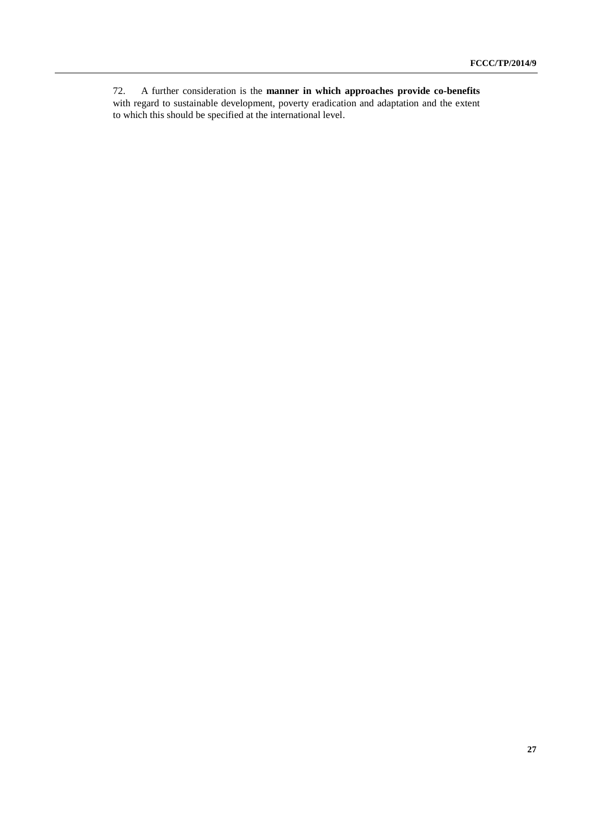72. A further consideration is the **manner in which approaches provide co-benefits** with regard to sustainable development, poverty eradication and adaptation and the extent to which this should be specified at the international level.